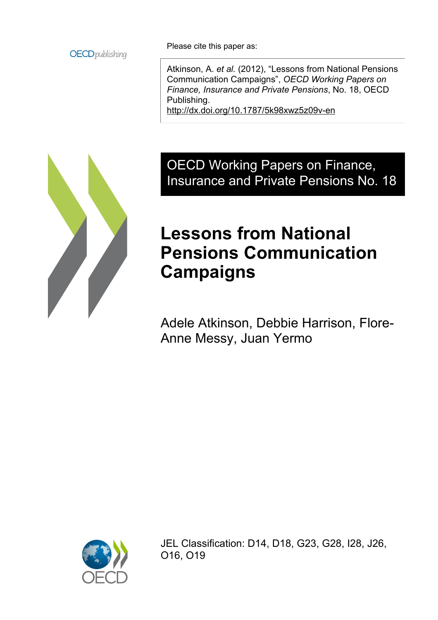

Please cite this paper as:

Atkinson, A. *et al.* (2012), "Lessons from National Pensions Communication Campaigns", *OECD Working Papers on Finance, Insurance and Private Pensions*, No. 18, OECD Publishing. <http://dx.doi.org/10.1787/5k98xwz5z09v-en>



OECD Working Papers on Finance, Insurance and Private Pensions No. 18

# **Lessons from National Pensions Communication Campaigns**

Adele Atkinson, Debbie Harrison, Flore-Anne Messy, Juan Yermo



JEL Classification: D14, D18, G23, G28, I28, J26, O16, O19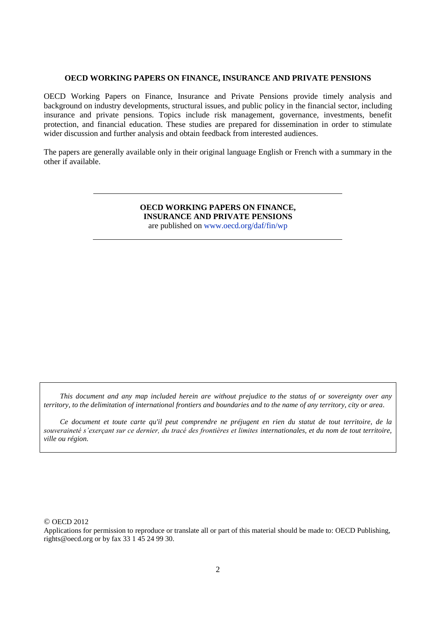# **OECD WORKING PAPERS ON FINANCE, INSURANCE AND PRIVATE PENSIONS**

OECD Working Papers on Finance, Insurance and Private Pensions provide timely analysis and background on industry developments, structural issues, and public policy in the financial sector, including insurance and private pensions. Topics include risk management, governance, investments, benefit protection, and financial education. These studies are prepared for dissemination in order to stimulate wider discussion and further analysis and obtain feedback from interested audiences.

The papers are generally available only in their original language English or French with a summary in the other if available.

> **OECD WORKING PAPERS ON FINANCE, INSURANCE AND PRIVATE PENSIONS** are published on [www.oecd.org/daf/fin/wp](http://www.oecd.org/daf/fin/wp)

*This document and any map included herein are without prejudice to the status of or sovereignty over any territory, to the delimitation of international frontiers and boundaries and to the name of any territory, city or area.*

*Ce document et toute carte qu'il peut comprendre ne préjugent en rien du statut de tout territoire, de la souveraineté s'exerçant sur ce dernier, du tracé des frontières et limites internationales, et du nom de tout territoire, ville ou région.*

© OECD 2012

Applications for permission to reproduce or translate all or part of this material should be made to: OECD Publishing, rights@oecd.org or by fax 33 1 45 24 99 30.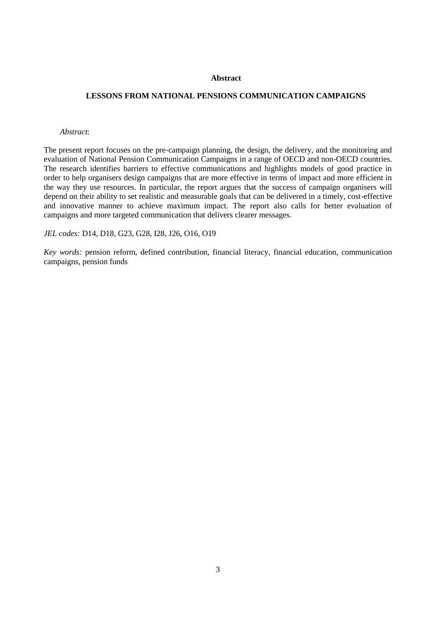#### **Abstract**

# **LESSONS FROM NATIONAL PENSIONS COMMUNICATION CAMPAIGNS**

#### *Abstract*:

The present report focuses on the pre-campaign planning, the design, the delivery, and the monitoring and evaluation of National Pension Communication Campaigns in a range of OECD and non-OECD countries. The research identifies barriers to effective communications and highlights models of good practice in order to help organisers design campaigns that are more effective in terms of impact and more efficient in the way they use resources. In particular, the report argues that the success of campaign organisers will depend on their ability to set realistic and measurable goals that can be delivered in a timely, cost-effective and innovative manner to achieve maximum impact. The report also calls for better evaluation of campaigns and more targeted communication that delivers clearer messages.

# *JEL codes:* D14, D18, G23, G28, I28, J26, O16, O19

*Key words:* pension reform, defined contribution, financial literacy, financial education, communication campaigns, pension funds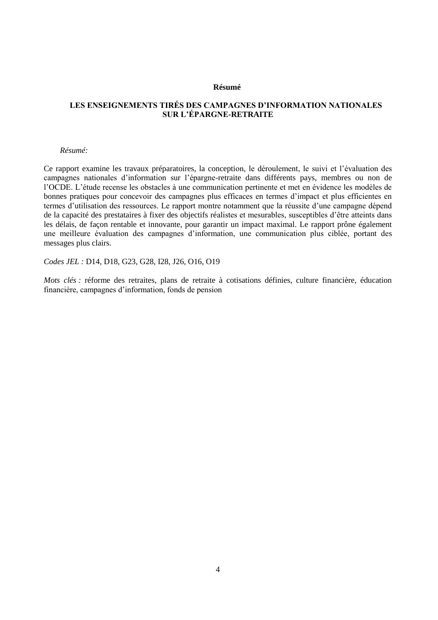## **Résumé**

# **LES ENSEIGNEMENTS TIRÉS DES CAMPAGNES D'INFORMATION NATIONALES SUR L'ÉPARGNE-RETRAITE**

#### *Résumé:*

Ce rapport examine les travaux préparatoires, la conception, le déroulement, le suivi et l"évaluation des campagnes nationales d"information sur l"épargne-retraite dans différents pays, membres ou non de l"OCDE. L"étude recense les obstacles à une communication pertinente et met en évidence les modèles de bonnes pratiques pour concevoir des campagnes plus efficaces en termes d"impact et plus efficientes en termes d'utilisation des ressources. Le rapport montre notamment que la réussite d'une campagne dépend de la capacité des prestataires à fixer des objectifs réalistes et mesurables, susceptibles d"être atteints dans les délais, de façon rentable et innovante, pour garantir un impact maximal. Le rapport prône également une meilleure évaluation des campagnes d"information, une communication plus ciblée, portant des messages plus clairs.

*Codes JEL :* D14, D18, G23, G28, I28, J26, O16, O19

*Mots clés :* réforme des retraites, plans de retraite à cotisations définies, culture financière, éducation financière, campagnes d"information, fonds de pension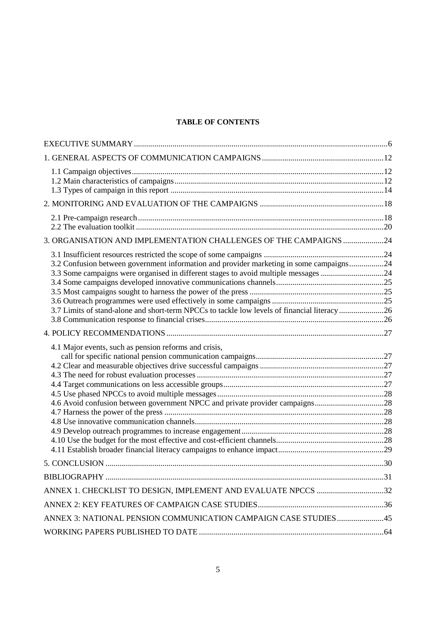# **TABLE OF CONTENTS**

| 3. ORGANISATION AND IMPLEMENTATION CHALLENGES OF THE CAMPAIGNS 24                                                                                                                                                                                                             |  |
|-------------------------------------------------------------------------------------------------------------------------------------------------------------------------------------------------------------------------------------------------------------------------------|--|
| 3.2 Confusion between government information and provider marketing in some campaigns24<br>3.3 Some campaigns were organised in different stages to avoid multiple messages 24<br>3.7 Limits of stand-alone and short-term NPCCs to tackle low levels of financial literacy26 |  |
|                                                                                                                                                                                                                                                                               |  |
| 4.1 Major events, such as pension reforms and crisis,<br>4.6 Avoid confusion between government NPCC and private provider campaigns28                                                                                                                                         |  |
|                                                                                                                                                                                                                                                                               |  |
|                                                                                                                                                                                                                                                                               |  |
| ANNEX 1. CHECKLIST TO DESIGN, IMPLEMENT AND EVALUATE NPCCS 32                                                                                                                                                                                                                 |  |
|                                                                                                                                                                                                                                                                               |  |
| ANNEX 3: NATIONAL PENSION COMMUNICATION CAMPAIGN CASE STUDIES 45                                                                                                                                                                                                              |  |
|                                                                                                                                                                                                                                                                               |  |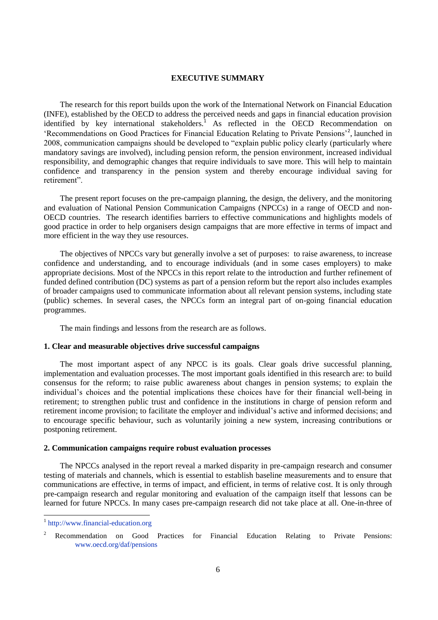## <span id="page-5-0"></span>**EXECUTIVE SUMMARY**

The research for this report builds upon the work of the International Network on Financial Education (INFE), established by the OECD to address the perceived needs and gaps in financial education provision identified by key international stakeholders.<sup>1</sup> As reflected in the OECD Recommendation on 'Recommendations on Good Practices for Financial Education Relating to Private Pensions'<sup>2</sup>, launched in 2008, communication campaigns should be developed to "explain public policy clearly (particularly where mandatory savings are involved), including pension reform, the pension environment, increased individual responsibility, and demographic changes that require individuals to save more. This will help to maintain confidence and transparency in the pension system and thereby encourage individual saving for retirement".

The present report focuses on the pre-campaign planning, the design, the delivery, and the monitoring and evaluation of National Pension Communication Campaigns (NPCCs) in a range of OECD and non-OECD countries. The research identifies barriers to effective communications and highlights models of good practice in order to help organisers design campaigns that are more effective in terms of impact and more efficient in the way they use resources.

The objectives of NPCCs vary but generally involve a set of purposes: to raise awareness, to increase confidence and understanding, and to encourage individuals (and in some cases employers) to make appropriate decisions. Most of the NPCCs in this report relate to the introduction and further refinement of funded defined contribution (DC) systems as part of a pension reform but the report also includes examples of broader campaigns used to communicate information about all relevant pension systems, including state (public) schemes. In several cases, the NPCCs form an integral part of on-going financial education programmes.

The main findings and lessons from the research are as follows.

#### **1. Clear and measurable objectives drive successful campaigns**

The most important aspect of any NPCC is its goals. Clear goals drive successful planning, implementation and evaluation processes. The most important goals identified in this research are: to build consensus for the reform; to raise public awareness about changes in pension systems; to explain the individual"s choices and the potential implications these choices have for their financial well-being in retirement; to strengthen public trust and confidence in the institutions in charge of pension reform and retirement income provision; to facilitate the employer and individual"s active and informed decisions; and to encourage specific behaviour, such as voluntarily joining a new system, increasing contributions or postponing retirement.

## **2. Communication campaigns require robust evaluation processes**

The NPCCs analysed in the report reveal a marked disparity in pre-campaign research and consumer testing of materials and channels, which is essential to establish baseline measurements and to ensure that communications are effective, in terms of impact, and efficient, in terms of relative cost. It is only through pre-campaign research and regular monitoring and evaluation of the campaign itself that lessons can be learned for future NPCCs. In many cases pre-campaign research did not take place at all. One-in-three of

<sup>1</sup> [http://www.financial-education.org](http://www.financial-education.org/)

<sup>&</sup>lt;sup>2</sup> Recommendation on Good Practices for Financial Education Relating to Private Pensions: [www.oecd.org/daf/pensions](http://www.oecd.org/daf/pensions)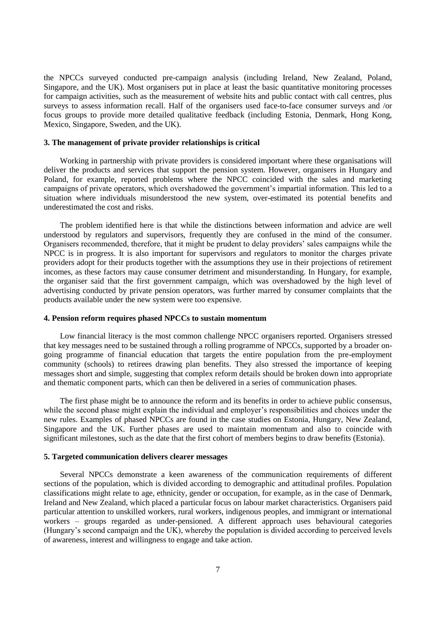the NPCCs surveyed conducted pre-campaign analysis (including Ireland, New Zealand, Poland, Singapore, and the UK). Most organisers put in place at least the basic quantitative monitoring processes for campaign activities, such as the measurement of website hits and public contact with call centres, plus surveys to assess information recall. Half of the organisers used face-to-face consumer surveys and /or focus groups to provide more detailed qualitative feedback (including Estonia, Denmark, Hong Kong, Mexico, Singapore, Sweden, and the UK).

## **3. The management of private provider relationships is critical**

Working in partnership with private providers is considered important where these organisations will deliver the products and services that support the pension system. However, organisers in Hungary and Poland, for example, reported problems where the NPCC coincided with the sales and marketing campaigns of private operators, which overshadowed the government"s impartial information. This led to a situation where individuals misunderstood the new system, over-estimated its potential benefits and underestimated the cost and risks.

The problem identified here is that while the distinctions between information and advice are well understood by regulators and supervisors, frequently they are confused in the mind of the consumer. Organisers recommended, therefore, that it might be prudent to delay providers" sales campaigns while the NPCC is in progress. It is also important for supervisors and regulators to monitor the charges private providers adopt for their products together with the assumptions they use in their projections of retirement incomes, as these factors may cause consumer detriment and misunderstanding. In Hungary, for example, the organiser said that the first government campaign, which was overshadowed by the high level of advertising conducted by private pension operators, was further marred by consumer complaints that the products available under the new system were too expensive.

#### **4. Pension reform requires phased NPCCs to sustain momentum**

Low financial literacy is the most common challenge NPCC organisers reported. Organisers stressed that key messages need to be sustained through a rolling programme of NPCCs, supported by a broader ongoing programme of financial education that targets the entire population from the pre-employment community (schools) to retirees drawing plan benefits. They also stressed the importance of keeping messages short and simple, suggesting that complex reform details should be broken down into appropriate and thematic component parts, which can then be delivered in a series of communication phases.

The first phase might be to announce the reform and its benefits in order to achieve public consensus, while the second phase might explain the individual and employer's responsibilities and choices under the new rules. Examples of phased NPCCs are found in the case studies on Estonia, Hungary, New Zealand, Singapore and the UK. Further phases are used to maintain momentum and also to coincide with significant milestones, such as the date that the first cohort of members begins to draw benefits (Estonia).

## **5. Targeted communication delivers clearer messages**

Several NPCCs demonstrate a keen awareness of the communication requirements of different sections of the population, which is divided according to demographic and attitudinal profiles. Population classifications might relate to age, ethnicity, gender or occupation, for example, as in the case of Denmark, Ireland and New Zealand, which placed a particular focus on labour market characteristics. Organisers paid particular attention to unskilled workers, rural workers, indigenous peoples, and immigrant or international workers – groups regarded as under-pensioned. A different approach uses behavioural categories (Hungary"s second campaign and the UK), whereby the population is divided according to perceived levels of awareness, interest and willingness to engage and take action.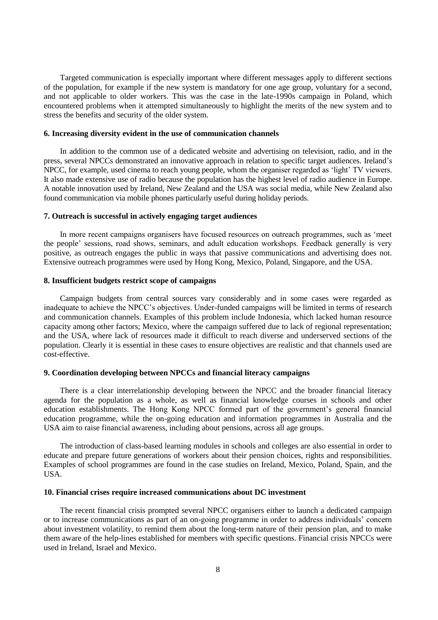Targeted communication is especially important where different messages apply to different sections of the population, for example if the new system is mandatory for one age group, voluntary for a second, and not applicable to older workers. This was the case in the late-1990s campaign in Poland, which encountered problems when it attempted simultaneously to highlight the merits of the new system and to stress the benefits and security of the older system.

## **6. Increasing diversity evident in the use of communication channels**

In addition to the common use of a dedicated website and advertising on television, radio, and in the press, several NPCCs demonstrated an innovative approach in relation to specific target audiences. Ireland"s NPCC, for example, used cinema to reach young people, whom the organiser regarded as "light" TV viewers. It also made extensive use of radio because the population has the highest level of radio audience in Europe. A notable innovation used by Ireland, New Zealand and the USA was social media, while New Zealand also found communication via mobile phones particularly useful during holiday periods.

## **7. Outreach is successful in actively engaging target audiences**

In more recent campaigns organisers have focused resources on outreach programmes, such as "meet the people" sessions, road shows, seminars, and adult education workshops. Feedback generally is very positive, as outreach engages the public in ways that passive communications and advertising does not. Extensive outreach programmes were used by Hong Kong, Mexico, Poland, Singapore, and the USA.

## **8. Insufficient budgets restrict scope of campaigns**

Campaign budgets from central sources vary considerably and in some cases were regarded as inadequate to achieve the NPCC"s objectives. Under-funded campaigns will be limited in terms of research and communication channels. Examples of this problem include Indonesia, which lacked human resource capacity among other factors; Mexico, where the campaign suffered due to lack of regional representation; and the USA, where lack of resources made it difficult to reach diverse and underserved sections of the population. Clearly it is essential in these cases to ensure objectives are realistic and that channels used are cost-effective.

## **9. Coordination developing between NPCCs and financial literacy campaigns**

There is a clear interrelationship developing between the NPCC and the broader financial literacy agenda for the population as a whole, as well as financial knowledge courses in schools and other education establishments. The Hong Kong NPCC formed part of the government's general financial education programme, while the on-going education and information programmes in Australia and the USA aim to raise financial awareness, including about pensions, across all age groups.

The introduction of class-based learning modules in schools and colleges are also essential in order to educate and prepare future generations of workers about their pension choices, rights and responsibilities. Examples of school programmes are found in the case studies on Ireland, Mexico, Poland, Spain, and the USA.

#### **10. Financial crises require increased communications about DC investment**

The recent financial crisis prompted several NPCC organisers either to launch a dedicated campaign or to increase communications as part of an on-going programme in order to address individuals" concern about investment volatility, to remind them about the long-term nature of their pension plan, and to make them aware of the help-lines established for members with specific questions. Financial crisis NPCCs were used in Ireland, Israel and Mexico.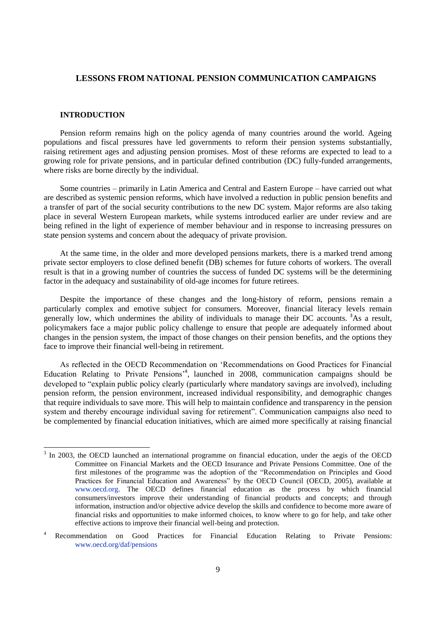# **LESSONS FROM NATIONAL PENSION COMMUNICATION CAMPAIGNS**

# **INTRODUCTION**

Pension reform remains high on the policy agenda of many countries around the world. Ageing populations and fiscal pressures have led governments to reform their pension systems substantially, raising retirement ages and adjusting pension promises. Most of these reforms are expected to lead to a growing role for private pensions, and in particular defined contribution (DC) fully-funded arrangements, where risks are borne directly by the individual.

Some countries – primarily in Latin America and Central and Eastern Europe – have carried out what are described as systemic pension reforms, which have involved a reduction in public pension benefits and a transfer of part of the social security contributions to the new DC system. Major reforms are also taking place in several Western European markets, while systems introduced earlier are under review and are being refined in the light of experience of member behaviour and in response to increasing pressures on state pension systems and concern about the adequacy of private provision.

At the same time, in the older and more developed pensions markets, there is a marked trend among private sector employers to close defined benefit (DB) schemes for future cohorts of workers. The overall result is that in a growing number of countries the success of funded DC systems will be the determining factor in the adequacy and sustainability of old-age incomes for future retirees.

Despite the importance of these changes and the long-history of reform, pensions remain a particularly complex and emotive subject for consumers. Moreover, financial literacy levels remain generally low, which undermines the ability of individuals to manage their DC accounts. <sup>3</sup>As a result, policymakers face a major public policy challenge to ensure that people are adequately informed about changes in the pension system, the impact of those changes on their pension benefits, and the options they face to improve their financial well-being in retirement.

As reflected in the OECD Recommendation on "Recommendations on Good Practices for Financial Education Relating to Private Pensions<sup>,4</sup>, launched in 2008, communication campaigns should be developed to "explain public policy clearly (particularly where mandatory savings are involved), including pension reform, the pension environment, increased individual responsibility, and demographic changes that require individuals to save more. This will help to maintain confidence and transparency in the pension system and thereby encourage individual saving for retirement". Communication campaigns also need to be complemented by financial education initiatives, which are aimed more specifically at raising financial

<sup>&</sup>lt;sup>3</sup> In 2003, the OECD launched an international programme on financial education, under the aegis of the OECD Committee on Financial Markets and the OECD Insurance and Private Pensions Committee. One of the first milestones of the programme was the adoption of the "Recommendation on Principles and Good Practices for Financial Education and Awareness" by the OECD Council (OECD, 2005), available at [www.oecd.org.](http://www.oecd.org/) The OECD defines financial education as the process by which financial consumers/investors improve their understanding of financial products and concepts; and through information, instruction and/or objective advice develop the skills and confidence to become more aware of financial risks and opportunities to make informed choices, to know where to go for help, and take other effective actions to improve their financial well-being and protection.

<sup>4</sup> Recommendation on Good Practices for Financial Education Relating to Private Pensions: [www.oecd.org/daf/pensions](http://www.oecd.org/daf/pensions)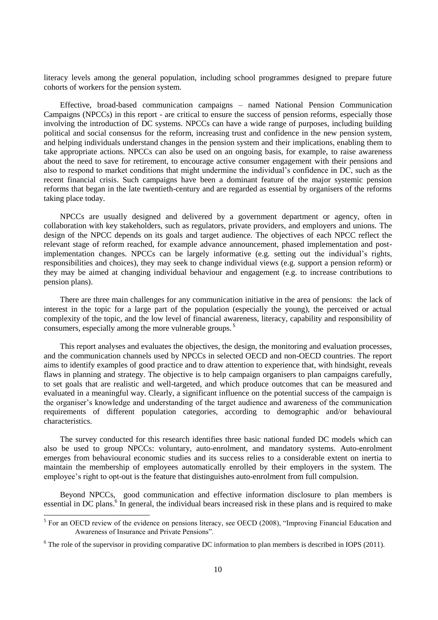literacy levels among the general population, including school programmes designed to prepare future cohorts of workers for the pension system.

Effective, broad-based communication campaigns – named National Pension Communication Campaigns (NPCCs) in this report - are critical to ensure the success of pension reforms, especially those involving the introduction of DC systems. NPCCs can have a wide range of purposes, including building political and social consensus for the reform, increasing trust and confidence in the new pension system, and helping individuals understand changes in the pension system and their implications, enabling them to take appropriate actions. NPCCs can also be used on an ongoing basis, for example, to raise awareness about the need to save for retirement, to encourage active consumer engagement with their pensions and also to respond to market conditions that might undermine the individual"s confidence in DC, such as the recent financial crisis. Such campaigns have been a dominant feature of the major systemic pension reforms that began in the late twentieth-century and are regarded as essential by organisers of the reforms taking place today.

NPCCs are usually designed and delivered by a government department or agency, often in collaboration with key stakeholders, such as regulators, private providers, and employers and unions. The design of the NPCC depends on its goals and target audience. The objectives of each NPCC reflect the relevant stage of reform reached, for example advance announcement, phased implementation and postimplementation changes. NPCCs can be largely informative (e.g. setting out the individual's rights, responsibilities and choices), they may seek to change individual views (e.g. support a pension reform) or they may be aimed at changing individual behaviour and engagement (e.g. to increase contributions to pension plans).

There are three main challenges for any communication initiative in the area of pensions: the lack of interest in the topic for a large part of the population (especially the young), the perceived or actual complexity of the topic, and the low level of financial awareness, literacy, capability and responsibility of consumers, especially among the more vulnerable groups.<sup>5</sup>

This report analyses and evaluates the objectives, the design, the monitoring and evaluation processes, and the communication channels used by NPCCs in selected OECD and non-OECD countries. The report aims to identify examples of good practice and to draw attention to experience that, with hindsight, reveals flaws in planning and strategy. The objective is to help campaign organisers to plan campaigns carefully, to set goals that are realistic and well-targeted, and which produce outcomes that can be measured and evaluated in a meaningful way. Clearly, a significant influence on the potential success of the campaign is the organiser"s knowledge and understanding of the target audience and awareness of the communication requirements of different population categories, according to demographic and/or behavioural characteristics.

The survey conducted for this research identifies three basic national funded DC models which can also be used to group NPCCs: voluntary, auto-enrolment, and mandatory systems. Auto-enrolment emerges from behavioural economic studies and its success relies to a considerable extent on inertia to maintain the membership of employees automatically enrolled by their employers in the system. The employee's right to opt-out is the feature that distinguishes auto-enrolment from full compulsion.

Beyond NPCCs, good communication and effective information disclosure to plan members is essential in DC plans.<sup>6</sup> In general, the individual bears increased risk in these plans and is required to make

<sup>&</sup>lt;sup>5</sup> For an OECD review of the evidence on pensions literacy, see OECD (2008), "Improving Financial Education and Awareness of Insurance and Private Pensions".

 $6$  The role of the supervisor in providing comparative DC information to plan members is described in IOPS (2011).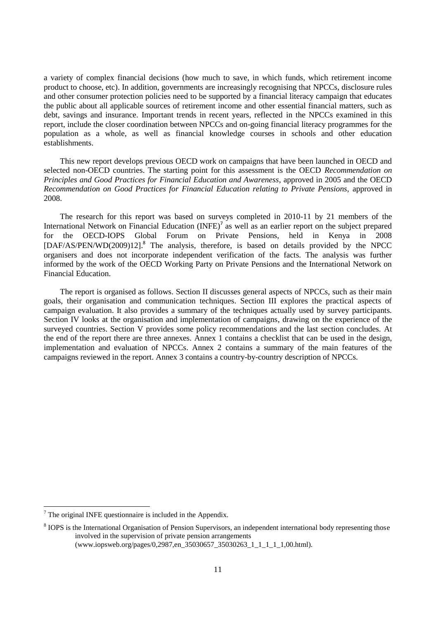a variety of complex financial decisions (how much to save, in which funds, which retirement income product to choose, etc). In addition, governments are increasingly recognising that NPCCs, disclosure rules and other consumer protection policies need to be supported by a financial literacy campaign that educates the public about all applicable sources of retirement income and other essential financial matters, such as debt, savings and insurance. Important trends in recent years, reflected in the NPCCs examined in this report, include the closer coordination between NPCCs and on-going financial literacy programmes for the population as a whole, as well as financial knowledge courses in schools and other education establishments.

This new report develops previous OECD work on campaigns that have been launched in OECD and selected non-OECD countries. The starting point for this assessment is the OECD *Recommendation on Principles and Good Practices for Financial Education and Awareness*, approved in 2005 and the OECD *Recommendation on Good Practices for Financial Education relating to Private Pensions,* approved in 2008.

The research for this report was based on surveys completed in 2010-11 by 21 members of the International Network on Financial Education  $(NFE)^7$  as well as an earlier report on the subject prepared for the OECD-IOPS Global Forum on Private Pensions, held in Kenya in 2008 [DAF/AS/PEN/WD(2009)12]. <sup>8</sup> The analysis, therefore, is based on details provided by the NPCC organisers and does not incorporate independent verification of the facts. The analysis was further informed by the work of the OECD Working Party on Private Pensions and the International Network on Financial Education.

The report is organised as follows. Section II discusses general aspects of NPCCs, such as their main goals, their organisation and communication techniques. Section III explores the practical aspects of campaign evaluation. It also provides a summary of the techniques actually used by survey participants. Section IV looks at the organisation and implementation of campaigns, drawing on the experience of the surveyed countries. Section V provides some policy recommendations and the last section concludes. At the end of the report there are three annexes. Annex 1 contains a checklist that can be used in the design, implementation and evaluation of NPCCs. Annex 2 contains a summary of the main features of the campaigns reviewed in the report. Annex 3 contains a country-by-country description of NPCCs.

 $\overline{a}$ 

 $7$  The original INFE questionnaire is included in the Appendix.

<sup>&</sup>lt;sup>8</sup> IOPS is the International Organisation of Pension Supervisors, an independent international body representing those involved in the supervision of private pension arrangements (www.iopsweb.org/pages/0,2987,en\_35030657\_35030263\_1\_1\_1\_1\_1,00.html).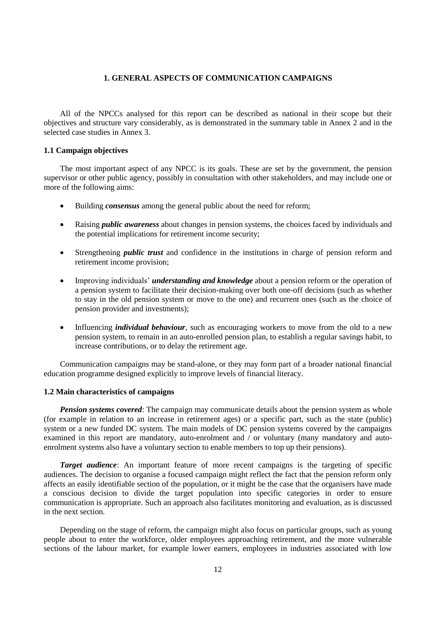# **1. GENERAL ASPECTS OF COMMUNICATION CAMPAIGNS**

<span id="page-11-0"></span>All of the NPCCs analysed for this report can be described as national in their scope but their objectives and structure vary considerably, as is demonstrated in the summary table in Annex 2 and in the selected case studies in Annex 3.

## <span id="page-11-1"></span>**1.1 Campaign objectives**

The most important aspect of any NPCC is its goals. These are set by the government, the pension supervisor or other public agency, possibly in consultation with other stakeholders, and may include one or more of the following aims:

- Building *consensus* among the general public about the need for reform;
- Raising *public awareness* about changes in pension systems, the choices faced by individuals and the potential implications for retirement income security;
- Strengthening *public trust* and confidence in the institutions in charge of pension reform and retirement income provision;
- Improving individuals" *understanding and knowledge* about a pension reform or the operation of a pension system to facilitate their decision-making over both one-off decisions (such as whether to stay in the old pension system or move to the one) and recurrent ones (such as the choice of pension provider and investments);
- Influencing *individual behaviour*, such as encouraging workers to move from the old to a new pension system, to remain in an auto-enrolled pension plan, to establish a regular savings habit, to increase contributions, or to delay the retirement age.

Communication campaigns may be stand-alone, or they may form part of a broader national financial education programme designed explicitly to improve levels of financial literacy.

## <span id="page-11-2"></span>**1.2 Main characteristics of campaigns**

*Pension systems covered*: The campaign may communicate details about the pension system as whole (for example in relation to an increase in retirement ages) or a specific part, such as the state (public) system or a new funded DC system. The main models of DC pension systems covered by the campaigns examined in this report are mandatory, auto-enrolment and / or voluntary (many mandatory and autoenrolment systems also have a voluntary section to enable members to top up their pensions).

*Target audience*: An important feature of more recent campaigns is the targeting of specific audiences. The decision to organise a focused campaign might reflect the fact that the pension reform only affects an easily identifiable section of the population, or it might be the case that the organisers have made a conscious decision to divide the target population into specific categories in order to ensure communication is appropriate. Such an approach also facilitates monitoring and evaluation, as is discussed in the next section.

Depending on the stage of reform, the campaign might also focus on particular groups, such as young people about to enter the workforce, older employees approaching retirement, and the more vulnerable sections of the labour market, for example lower earners, employees in industries associated with low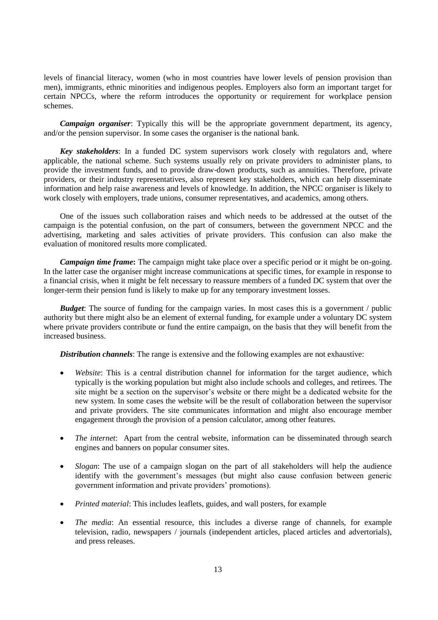levels of financial literacy, women (who in most countries have lower levels of pension provision than men), immigrants, ethnic minorities and indigenous peoples. Employers also form an important target for certain NPCCs, where the reform introduces the opportunity or requirement for workplace pension schemes.

*Campaign organiser*: Typically this will be the appropriate government department, its agency, and/or the pension supervisor. In some cases the organiser is the national bank.

*Key stakeholders*: In a funded DC system supervisors work closely with regulators and, where applicable, the national scheme. Such systems usually rely on private providers to administer plans, to provide the investment funds, and to provide draw-down products, such as annuities. Therefore, private providers, or their industry representatives, also represent key stakeholders, which can help disseminate information and help raise awareness and levels of knowledge. In addition, the NPCC organiser is likely to work closely with employers, trade unions, consumer representatives, and academics, among others.

One of the issues such collaboration raises and which needs to be addressed at the outset of the campaign is the potential confusion, on the part of consumers, between the government NPCC and the advertising, marketing and sales activities of private providers. This confusion can also make the evaluation of monitored results more complicated.

*Campaign time frame***:** The campaign might take place over a specific period or it might be on-going. In the latter case the organiser might increase communications at specific times, for example in response to a financial crisis, when it might be felt necessary to reassure members of a funded DC system that over the longer-term their pension fund is likely to make up for any temporary investment losses.

*Budget*: The source of funding for the campaign varies. In most cases this is a government / public authority but there might also be an element of external funding, for example under a voluntary DC system where private providers contribute or fund the entire campaign, on the basis that they will benefit from the increased business.

*Distribution channels*: The range is extensive and the following examples are not exhaustive:

- *Website*: This is a central distribution channel for information for the target audience, which typically is the working population but might also include schools and colleges, and retirees. The site might be a section on the supervisor's website or there might be a dedicated website for the new system. In some cases the website will be the result of collaboration between the supervisor and private providers. The site communicates information and might also encourage member engagement through the provision of a pension calculator, among other features.
- *The internet*: Apart from the central website, information can be disseminated through search engines and banners on popular consumer sites.
- *Slogan*: The use of a campaign slogan on the part of all stakeholders will help the audience identify with the government's messages (but might also cause confusion between generic government information and private providers" promotions).
- *Printed material*: This includes leaflets, guides, and wall posters, for example
- *The media*: An essential resource, this includes a diverse range of channels, for example television, radio, newspapers / journals (independent articles, placed articles and advertorials), and press releases.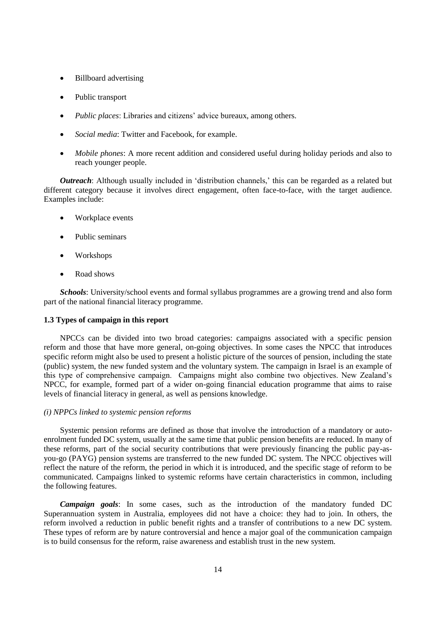- Billboard advertising
- Public transport
- *Public places:* Libraries and citizens' advice bureaux, among others.
- *Social media*: Twitter and Facebook, for example.
- *Mobile phones*: A more recent addition and considered useful during holiday periods and also to reach younger people.

*Outreach*: Although usually included in 'distribution channels,' this can be regarded as a related but different category because it involves direct engagement, often face-to-face, with the target audience. Examples include:

- Workplace events
- Public seminars
- Workshops
- Road shows

*Schools*: University/school events and formal syllabus programmes are a growing trend and also form part of the national financial literacy programme.

## <span id="page-13-0"></span>**1.3 Types of campaign in this report**

NPCCs can be divided into two broad categories: campaigns associated with a specific pension reform and those that have more general, on-going objectives. In some cases the NPCC that introduces specific reform might also be used to present a holistic picture of the sources of pension, including the state (public) system, the new funded system and the voluntary system. The campaign in Israel is an example of this type of comprehensive campaign. Campaigns might also combine two objectives. New Zealand"s NPCC, for example, formed part of a wider on-going financial education programme that aims to raise levels of financial literacy in general, as well as pensions knowledge.

## *(i) NPPCs linked to systemic pension reforms*

Systemic pension reforms are defined as those that involve the introduction of a mandatory or autoenrolment funded DC system, usually at the same time that public pension benefits are reduced. In many of these reforms, part of the social security contributions that were previously financing the public pay-asyou-go (PAYG) pension systems are transferred to the new funded DC system. The NPCC objectives will reflect the nature of the reform, the period in which it is introduced, and the specific stage of reform to be communicated. Campaigns linked to systemic reforms have certain characteristics in common, including the following features.

*Campaign goals*: In some cases, such as the introduction of the mandatory funded DC Superannuation system in Australia, employees did not have a choice: they had to join. In others, the reform involved a reduction in public benefit rights and a transfer of contributions to a new DC system. These types of reform are by nature controversial and hence a major goal of the communication campaign is to build consensus for the reform, raise awareness and establish trust in the new system.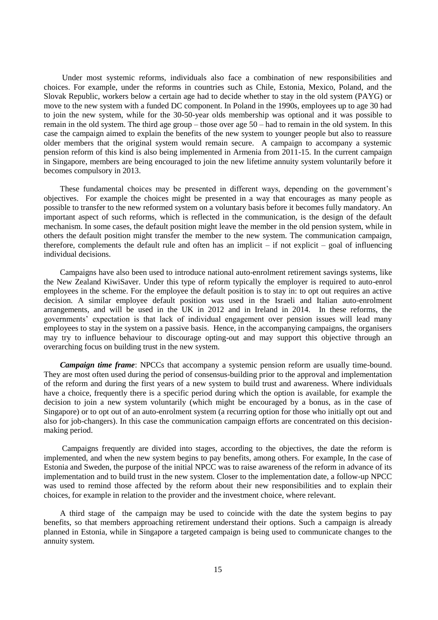Under most systemic reforms, individuals also face a combination of new responsibilities and choices. For example, under the reforms in countries such as Chile, Estonia, Mexico, Poland, and the Slovak Republic, workers below a certain age had to decide whether to stay in the old system (PAYG) or move to the new system with a funded DC component. In Poland in the 1990s, employees up to age 30 had to join the new system, while for the 30-50-year olds membership was optional and it was possible to remain in the old system. The third age group – those over age 50 – had to remain in the old system. In this case the campaign aimed to explain the benefits of the new system to younger people but also to reassure older members that the original system would remain secure. A campaign to accompany a systemic pension reform of this kind is also being implemented in Armenia from 2011-15. In the current campaign in Singapore, members are being encouraged to join the new lifetime annuity system voluntarily before it becomes compulsory in 2013.

These fundamental choices may be presented in different ways, depending on the government's objectives. For example the choices might be presented in a way that encourages as many people as possible to transfer to the new reformed system on a voluntary basis before it becomes fully mandatory. An important aspect of such reforms, which is reflected in the communication, is the design of the default mechanism. In some cases, the default position might leave the member in the old pension system, while in others the default position might transfer the member to the new system. The communication campaign, therefore, complements the default rule and often has an implicit – if not explicit – goal of influencing individual decisions.

Campaigns have also been used to introduce national auto-enrolment retirement savings systems, like the New Zealand KiwiSaver. Under this type of reform typically the employer is required to auto-enrol employees in the scheme. For the employee the default position is to stay in: to opt out requires an active decision. A similar employee default position was used in the Israeli and Italian auto-enrolment arrangements, and will be used in the UK in 2012 and in Ireland in 2014. In these reforms, the governments" expectation is that lack of individual engagement over pension issues will lead many employees to stay in the system on a passive basis. Hence, in the accompanying campaigns, the organisers may try to influence behaviour to discourage opting-out and may support this objective through an overarching focus on building trust in the new system.

*Campaign time frame*: NPCCs that accompany a systemic pension reform are usually time-bound. They are most often used during the period of consensus-building prior to the approval and implementation of the reform and during the first years of a new system to build trust and awareness. Where individuals have a choice, frequently there is a specific period during which the option is available, for example the decision to join a new system voluntarily (which might be encouraged by a bonus, as in the case of Singapore) or to opt out of an auto-enrolment system (a recurring option for those who initially opt out and also for job-changers). In this case the communication campaign efforts are concentrated on this decisionmaking period.

Campaigns frequently are divided into stages, according to the objectives, the date the reform is implemented, and when the new system begins to pay benefits, among others. For example, In the case of Estonia and Sweden, the purpose of the initial NPCC was to raise awareness of the reform in advance of its implementation and to build trust in the new system. Closer to the implementation date, a follow-up NPCC was used to remind those affected by the reform about their new responsibilities and to explain their choices, for example in relation to the provider and the investment choice, where relevant.

A third stage of the campaign may be used to coincide with the date the system begins to pay benefits, so that members approaching retirement understand their options. Such a campaign is already planned in Estonia, while in Singapore a targeted campaign is being used to communicate changes to the annuity system.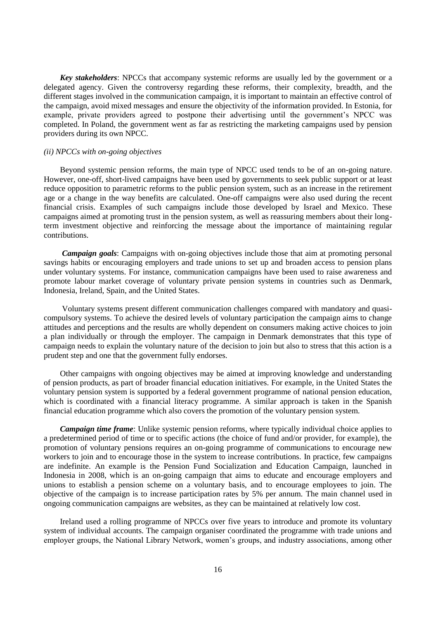*Key stakeholders*: NPCCs that accompany systemic reforms are usually led by the government or a delegated agency. Given the controversy regarding these reforms, their complexity, breadth, and the different stages involved in the communication campaign, it is important to maintain an effective control of the campaign, avoid mixed messages and ensure the objectivity of the information provided. In Estonia, for example, private providers agreed to postpone their advertising until the government's NPCC was completed. In Poland, the government went as far as restricting the marketing campaigns used by pension providers during its own NPCC.

## *(ii) NPCCs with on-going objectives*

Beyond systemic pension reforms, the main type of NPCC used tends to be of an on-going nature. However, one-off, short-lived campaigns have been used by governments to seek public support or at least reduce opposition to parametric reforms to the public pension system, such as an increase in the retirement age or a change in the way benefits are calculated. One-off campaigns were also used during the recent financial crisis. Examples of such campaigns include those developed by Israel and Mexico. These campaigns aimed at promoting trust in the pension system, as well as reassuring members about their longterm investment objective and reinforcing the message about the importance of maintaining regular contributions.

*Campaign goals*: Campaigns with on-going objectives include those that aim at promoting personal savings habits or encouraging employers and trade unions to set up and broaden access to pension plans under voluntary systems. For instance, communication campaigns have been used to raise awareness and promote labour market coverage of voluntary private pension systems in countries such as Denmark, Indonesia, Ireland, Spain, and the United States.

Voluntary systems present different communication challenges compared with mandatory and quasicompulsory systems. To achieve the desired levels of voluntary participation the campaign aims to change attitudes and perceptions and the results are wholly dependent on consumers making active choices to join a plan individually or through the employer. The campaign in Denmark demonstrates that this type of campaign needs to explain the voluntary nature of the decision to join but also to stress that this action is a prudent step and one that the government fully endorses.

Other campaigns with ongoing objectives may be aimed at improving knowledge and understanding of pension products, as part of broader financial education initiatives. For example, in the United States the voluntary pension system is supported by a federal government programme of national pension education, which is coordinated with a financial literacy programme. A similar approach is taken in the Spanish financial education programme which also covers the promotion of the voluntary pension system.

*Campaign time frame*: Unlike systemic pension reforms, where typically individual choice applies to a predetermined period of time or to specific actions (the choice of fund and/or provider, for example), the promotion of voluntary pensions requires an on-going programme of communications to encourage new workers to join and to encourage those in the system to increase contributions. In practice, few campaigns are indefinite. An example is the Pension Fund Socialization and Education Campaign, launched in Indonesia in 2008, which is an on-going campaign that aims to educate and encourage employers and unions to establish a pension scheme on a voluntary basis, and to encourage employees to join. The objective of the campaign is to increase participation rates by 5% per annum. The main channel used in ongoing communication campaigns are websites, as they can be maintained at relatively low cost.

Ireland used a rolling programme of NPCCs over five years to introduce and promote its voluntary system of individual accounts. The campaign organiser coordinated the programme with trade unions and employer groups, the National Library Network, women"s groups, and industry associations, among other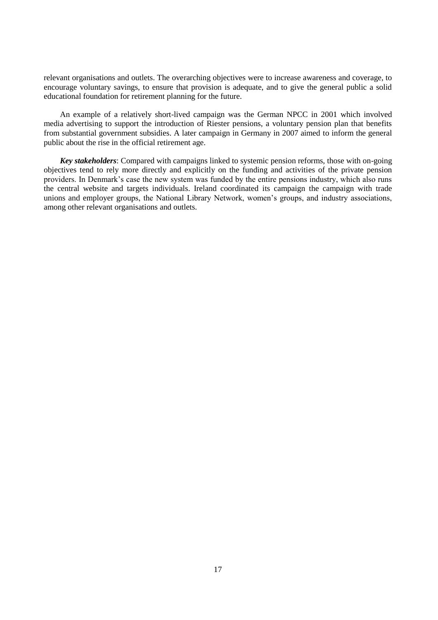relevant organisations and outlets. The overarching objectives were to increase awareness and coverage, to encourage voluntary savings, to ensure that provision is adequate, and to give the general public a solid educational foundation for retirement planning for the future.

An example of a relatively short-lived campaign was the German NPCC in 2001 which involved media advertising to support the introduction of Riester pensions, a voluntary pension plan that benefits from substantial government subsidies. A later campaign in Germany in 2007 aimed to inform the general public about the rise in the official retirement age.

*Key stakeholders*: Compared with campaigns linked to systemic pension reforms, those with on-going objectives tend to rely more directly and explicitly on the funding and activities of the private pension providers. In Denmark"s case the new system was funded by the entire pensions industry, which also runs the central website and targets individuals. Ireland coordinated its campaign the campaign with trade unions and employer groups, the National Library Network, women"s groups, and industry associations, among other relevant organisations and outlets.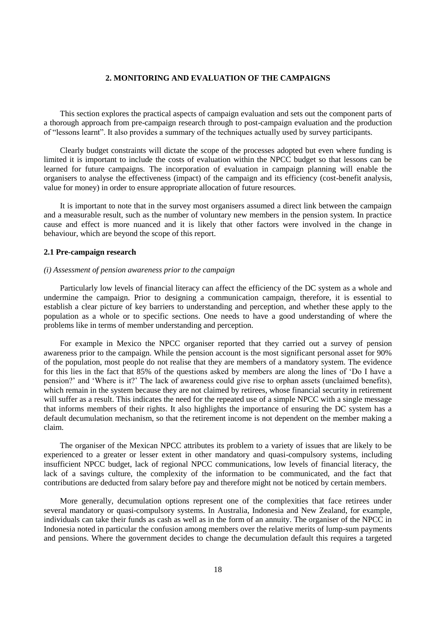# **2. MONITORING AND EVALUATION OF THE CAMPAIGNS**

<span id="page-17-0"></span>This section explores the practical aspects of campaign evaluation and sets out the component parts of a thorough approach from pre-campaign research through to post-campaign evaluation and the production of "lessons learnt". It also provides a summary of the techniques actually used by survey participants.

Clearly budget constraints will dictate the scope of the processes adopted but even where funding is limited it is important to include the costs of evaluation within the NPCC budget so that lessons can be learned for future campaigns. The incorporation of evaluation in campaign planning will enable the organisers to analyse the effectiveness (impact) of the campaign and its efficiency (cost-benefit analysis, value for money) in order to ensure appropriate allocation of future resources.

It is important to note that in the survey most organisers assumed a direct link between the campaign and a measurable result, such as the number of voluntary new members in the pension system. In practice cause and effect is more nuanced and it is likely that other factors were involved in the change in behaviour, which are beyond the scope of this report.

#### <span id="page-17-1"></span>**2.1 Pre-campaign research**

## *(i) Assessment of pension awareness prior to the campaign*

Particularly low levels of financial literacy can affect the efficiency of the DC system as a whole and undermine the campaign. Prior to designing a communication campaign, therefore, it is essential to establish a clear picture of key barriers to understanding and perception, and whether these apply to the population as a whole or to specific sections. One needs to have a good understanding of where the problems like in terms of member understanding and perception.

For example in Mexico the NPCC organiser reported that they carried out a survey of pension awareness prior to the campaign. While the pension account is the most significant personal asset for 90% of the population, most people do not realise that they are members of a mandatory system. The evidence for this lies in the fact that 85% of the questions asked by members are along the lines of "Do I have a pension?' and 'Where is it?' The lack of awareness could give rise to orphan assets (unclaimed benefits), which remain in the system because they are not claimed by retirees, whose financial security in retirement will suffer as a result. This indicates the need for the repeated use of a simple NPCC with a single message that informs members of their rights. It also highlights the importance of ensuring the DC system has a default decumulation mechanism, so that the retirement income is not dependent on the member making a claim.

The organiser of the Mexican NPCC attributes its problem to a variety of issues that are likely to be experienced to a greater or lesser extent in other mandatory and quasi-compulsory systems, including insufficient NPCC budget, lack of regional NPCC communications, low levels of financial literacy, the lack of a savings culture, the complexity of the information to be communicated, and the fact that contributions are deducted from salary before pay and therefore might not be noticed by certain members.

More generally, decumulation options represent one of the complexities that face retirees under several mandatory or quasi-compulsory systems. In Australia, Indonesia and New Zealand, for example, individuals can take their funds as cash as well as in the form of an annuity. The organiser of the NPCC in Indonesia noted in particular the confusion among members over the relative merits of lump-sum payments and pensions. Where the government decides to change the decumulation default this requires a targeted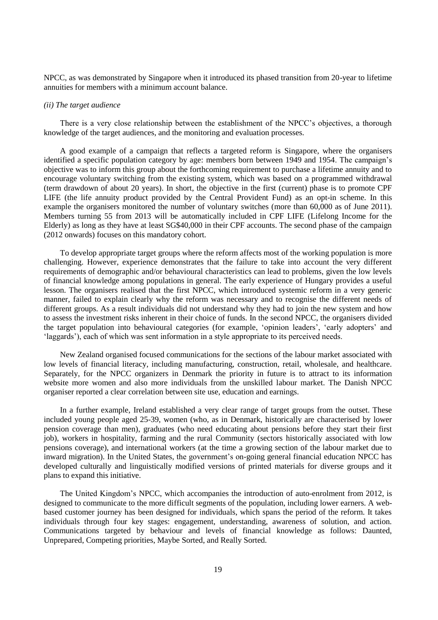NPCC, as was demonstrated by Singapore when it introduced its phased transition from 20-year to lifetime annuities for members with a minimum account balance.

#### *(ii) The target audience*

There is a very close relationship between the establishment of the NPCC"s objectives, a thorough knowledge of the target audiences, and the monitoring and evaluation processes.

A good example of a campaign that reflects a targeted reform is Singapore, where the organisers identified a specific population category by age: members born between 1949 and 1954. The campaign"s objective was to inform this group about the forthcoming requirement to purchase a lifetime annuity and to encourage voluntary switching from the existing system, which was based on a programmed withdrawal (term drawdown of about 20 years). In short, the objective in the first (current) phase is to promote CPF LIFE (the life annuity product provided by the Central Provident Fund) as an opt-in scheme. In this example the organisers monitored the number of voluntary switches (more than 60,000 as of June 2011). Members turning 55 from 2013 will be automatically included in CPF LIFE (Lifelong Income for the Elderly) as long as they have at least SG\$40,000 in their CPF accounts. The second phase of the campaign (2012 onwards) focuses on this mandatory cohort.

To develop appropriate target groups where the reform affects most of the working population is more challenging. However, experience demonstrates that the failure to take into account the very different requirements of demographic and/or behavioural characteristics can lead to problems, given the low levels of financial knowledge among populations in general. The early experience of Hungary provides a useful lesson. The organisers realised that the first NPCC, which introduced systemic reform in a very generic manner, failed to explain clearly why the reform was necessary and to recognise the different needs of different groups. As a result individuals did not understand why they had to join the new system and how to assess the investment risks inherent in their choice of funds. In the second NPCC, the organisers divided the target population into behavioural categories (for example, 'opinion leaders', 'early adopters' and "laggards"), each of which was sent information in a style appropriate to its perceived needs.

New Zealand organised focused communications for the sections of the labour market associated with low levels of financial literacy, including manufacturing, construction, retail, wholesale, and healthcare. Separately, for the NPCC organizers in Denmark the priority in future is to attract to its information website more women and also more individuals from the unskilled labour market. The Danish NPCC organiser reported a clear correlation between site use, education and earnings.

In a further example, Ireland established a very clear range of target groups from the outset. These included young people aged 25-39, women (who, as in Denmark, historically are characterised by lower pension coverage than men), graduates (who need educating about pensions before they start their first job), workers in hospitality, farming and the rural Community (sectors historically associated with low pensions coverage), and international workers (at the time a growing section of the labour market due to inward migration). In the United States, the government's on-going general financial education NPCC has developed culturally and linguistically modified versions of printed materials for diverse groups and it plans to expand this initiative.

The United Kingdom"s NPCC, which accompanies the introduction of auto-enrolment from 2012, is designed to communicate to the more difficult segments of the population, including lower earners. A webbased customer journey has been designed for individuals, which spans the period of the reform. It takes individuals through four key stages: engagement, understanding, awareness of solution, and action. Communications targeted by behaviour and levels of financial knowledge as follows: Daunted, Unprepared, Competing priorities, Maybe Sorted, and Really Sorted.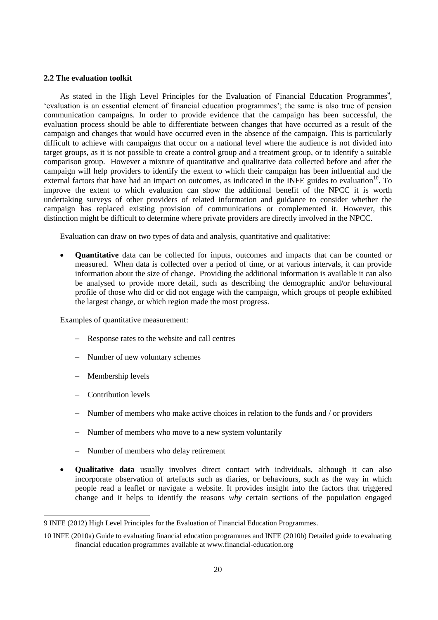# <span id="page-19-0"></span>**2.2 The evaluation toolkit**

As stated in the High Level Principles for the Evaluation of Financial Education Programmes<sup>9</sup>, "evaluation is an essential element of financial education programmes"; the same is also true of pension communication campaigns. In order to provide evidence that the campaign has been successful, the evaluation process should be able to differentiate between changes that have occurred as a result of the campaign and changes that would have occurred even in the absence of the campaign. This is particularly difficult to achieve with campaigns that occur on a national level where the audience is not divided into target groups, as it is not possible to create a control group and a treatment group, or to identify a suitable comparison group. However a mixture of quantitative and qualitative data collected before and after the campaign will help providers to identify the extent to which their campaign has been influential and the external factors that have had an impact on outcomes, as indicated in the INFE guides to evaluation<sup>10</sup>. To improve the extent to which evaluation can show the additional benefit of the NPCC it is worth undertaking surveys of other providers of related information and guidance to consider whether the campaign has replaced existing provision of communications or complemented it. However, this distinction might be difficult to determine where private providers are directly involved in the NPCC.

Evaluation can draw on two types of data and analysis, quantitative and qualitative:

 **Quantitative** data can be collected for inputs, outcomes and impacts that can be counted or measured. When data is collected over a period of time, or at various intervals, it can provide information about the size of change. Providing the additional information is available it can also be analysed to provide more detail, such as describing the demographic and/or behavioural profile of those who did or did not engage with the campaign, which groups of people exhibited the largest change, or which region made the most progress.

Examples of quantitative measurement:

- Response rates to the website and call centres
- Number of new voluntary schemes
- Membership levels
- Contribution levels

- $-$  Number of members who make active choices in relation to the funds and / or providers
- Number of members who move to a new system voluntarily
- Number of members who delay retirement
- **Qualitative data** usually involves direct contact with individuals, although it can also incorporate observation of artefacts such as diaries, or behaviours, such as the way in which people read a leaflet or navigate a website. It provides insight into the factors that triggered change and it helps to identify the reasons *why* certain sections of the population engaged

<sup>9</sup> INFE (2012) High Level Principles for the Evaluation of Financial Education Programmes.

<sup>10</sup> INFE (2010a) Guide to evaluating financial education programmes and INFE (2010b) Detailed guide to evaluating financial education programmes available at www.financial-education.org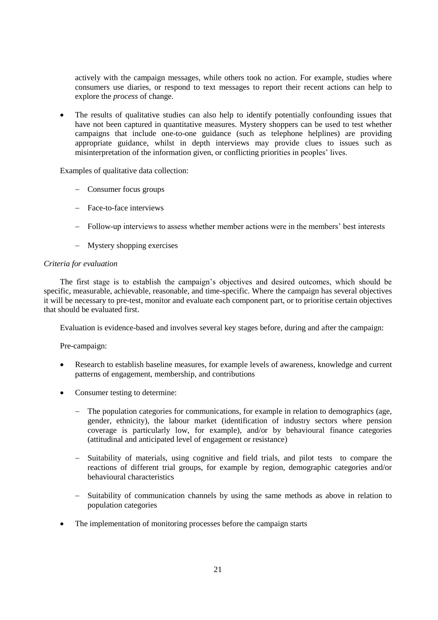actively with the campaign messages, while others took no action. For example, studies where consumers use diaries, or respond to text messages to report their recent actions can help to explore the *process* of change.

 The results of qualitative studies can also help to identify potentially confounding issues that have not been captured in quantitative measures. Mystery shoppers can be used to test whether campaigns that include one-to-one guidance (such as telephone helplines) are providing appropriate guidance, whilst in depth interviews may provide clues to issues such as misinterpretation of the information given, or conflicting priorities in peoples" lives.

Examples of qualitative data collection:

- Consumer focus groups
- Face-to-face interviews
- Follow-up interviews to assess whether member actions were in the members' best interests
- Mystery shopping exercises

# *Criteria for evaluation*

The first stage is to establish the campaign"s objectives and desired outcomes, which should be specific, measurable, achievable, reasonable, and time-specific. Where the campaign has several objectives it will be necessary to pre-test, monitor and evaluate each component part, or to prioritise certain objectives that should be evaluated first.

Evaluation is evidence-based and involves several key stages before, during and after the campaign:

Pre-campaign:

- Research to establish baseline measures, for example levels of awareness, knowledge and current patterns of engagement, membership, and contributions
- Consumer testing to determine:
	- The population categories for communications, for example in relation to demographics (age, gender, ethnicity), the labour market (identification of industry sectors where pension coverage is particularly low, for example), and/or by behavioural finance categories (attitudinal and anticipated level of engagement or resistance)
	- Suitability of materials, using cognitive and field trials, and pilot tests to compare the reactions of different trial groups, for example by region, demographic categories and/or behavioural characteristics
	- Suitability of communication channels by using the same methods as above in relation to population categories
- The implementation of monitoring processes before the campaign starts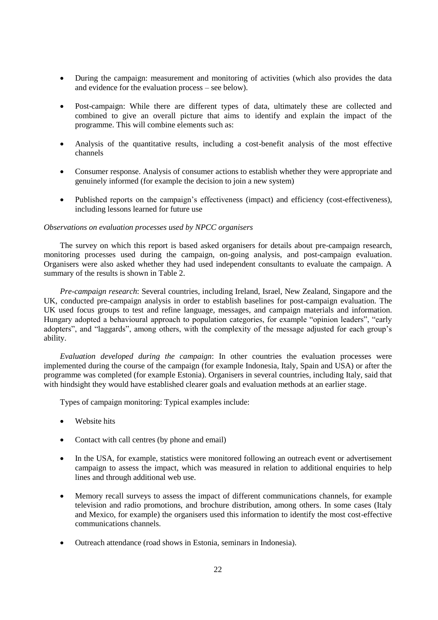- During the campaign: measurement and monitoring of activities (which also provides the data and evidence for the evaluation process – see below).
- Post-campaign: While there are different types of data, ultimately these are collected and combined to give an overall picture that aims to identify and explain the impact of the programme. This will combine elements such as:
- Analysis of the quantitative results, including a cost-benefit analysis of the most effective channels
- Consumer response. Analysis of consumer actions to establish whether they were appropriate and genuinely informed (for example the decision to join a new system)
- Published reports on the campaign"s effectiveness (impact) and efficiency (cost-effectiveness), including lessons learned for future use

# *Observations on evaluation processes used by NPCC organisers*

The survey on which this report is based asked organisers for details about pre-campaign research, monitoring processes used during the campaign, on-going analysis, and post-campaign evaluation. Organisers were also asked whether they had used independent consultants to evaluate the campaign. A summary of the results is shown in Table 2.

*Pre-campaign research*: Several countries, including Ireland, Israel, New Zealand, Singapore and the UK, conducted pre-campaign analysis in order to establish baselines for post-campaign evaluation. The UK used focus groups to test and refine language, messages, and campaign materials and information. Hungary adopted a behavioural approach to population categories, for example "opinion leaders", "early adopters", and "laggards", among others, with the complexity of the message adjusted for each group"s ability.

*Evaluation developed during the campaign*: In other countries the evaluation processes were implemented during the course of the campaign (for example Indonesia, Italy, Spain and USA) or after the programme was completed (for example Estonia). Organisers in several countries, including Italy, said that with hindsight they would have established clearer goals and evaluation methods at an earlier stage.

Types of campaign monitoring: Typical examples include:

- Website hits
- Contact with call centres (by phone and email)
- In the USA, for example, statistics were monitored following an outreach event or advertisement campaign to assess the impact, which was measured in relation to additional enquiries to help lines and through additional web use.
- Memory recall surveys to assess the impact of different communications channels, for example television and radio promotions, and brochure distribution, among others. In some cases (Italy and Mexico, for example) the organisers used this information to identify the most cost-effective communications channels.
- Outreach attendance (road shows in Estonia, seminars in Indonesia).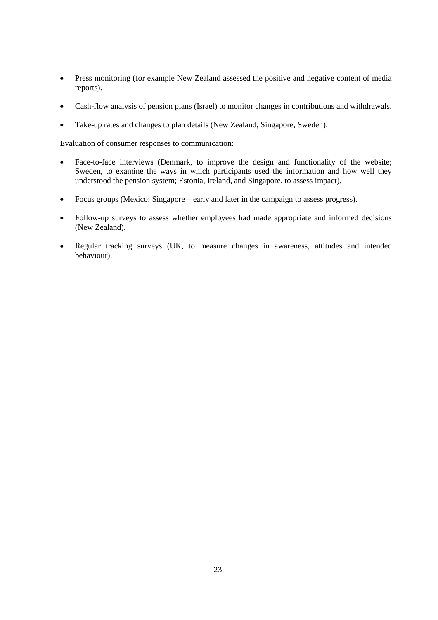- Press monitoring (for example New Zealand assessed the positive and negative content of media reports).
- Cash-flow analysis of pension plans (Israel) to monitor changes in contributions and withdrawals.
- Take-up rates and changes to plan details (New Zealand, Singapore, Sweden).

Evaluation of consumer responses to communication:

- Face-to-face interviews (Denmark, to improve the design and functionality of the website; Sweden, to examine the ways in which participants used the information and how well they understood the pension system; Estonia, Ireland, and Singapore, to assess impact).
- Focus groups (Mexico; Singapore early and later in the campaign to assess progress).
- Follow-up surveys to assess whether employees had made appropriate and informed decisions (New Zealand).
- Regular tracking surveys (UK, to measure changes in awareness, attitudes and intended behaviour).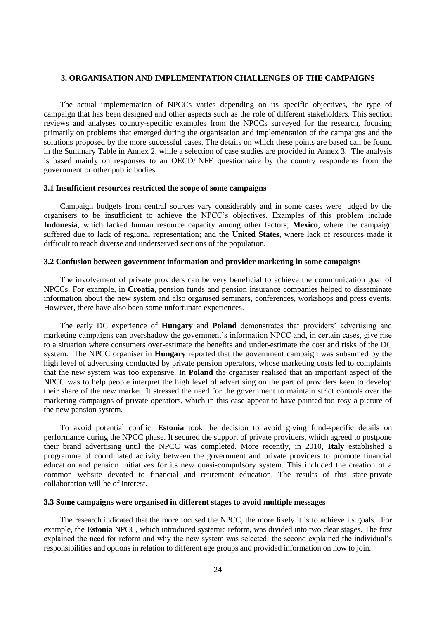# <span id="page-23-0"></span>**3. ORGANISATION AND IMPLEMENTATION CHALLENGES OF THE CAMPAIGNS**

The actual implementation of NPCCs varies depending on its specific objectives, the type of campaign that has been designed and other aspects such as the role of different stakeholders. This section reviews and analyses country-specific examples from the NPCCs surveyed for the research, focusing primarily on problems that emerged during the organisation and implementation of the campaigns and the solutions proposed by the more successful cases. The details on which these points are based can be found in the Summary Table in Annex 2, while a selection of case studies are provided in Annex 3. The analysis is based mainly on responses to an OECD/INFE questionnaire by the country respondents from the government or other public bodies.

## <span id="page-23-1"></span>**3.1 Insufficient resources restricted the scope of some campaigns**

Campaign budgets from central sources vary considerably and in some cases were judged by the organisers to be insufficient to achieve the NPCC"s objectives. Examples of this problem include **Indonesia**, which lacked human resource capacity among other factors; **Mexico**, where the campaign suffered due to lack of regional representation; and the **United States**, where lack of resources made it difficult to reach diverse and underserved sections of the population.

# <span id="page-23-2"></span>**3.2 Confusion between government information and provider marketing in some campaigns**

The involvement of private providers can be very beneficial to achieve the communication goal of NPCCs. For example, in **Croatia**, pension funds and pension insurance companies helped to disseminate information about the new system and also organised seminars, conferences, workshops and press events. However, there have also been some unfortunate experiences.

The early DC experience of **Hungary** and **Poland** demonstrates that providers" advertising and marketing campaigns can overshadow the government's information NPCC and, in certain cases, give rise to a situation where consumers over-estimate the benefits and under-estimate the cost and risks of the DC system. The NPCC organiser in **Hungary** reported that the government campaign was subsumed by the high level of advertising conducted by private pension operators, whose marketing costs led to complaints that the new system was too expensive. In **Poland** the organiser realised that an important aspect of the NPCC was to help people interpret the high level of advertising on the part of providers keen to develop their share of the new market. It stressed the need for the government to maintain strict controls over the marketing campaigns of private operators, which in this case appear to have painted too rosy a picture of the new pension system.

To avoid potential conflict **Estonia** took the decision to avoid giving fund-specific details on performance during the NPCC phase. It secured the support of private providers, which agreed to postpone their brand advertising until the NPCC was completed. More recently, in 2010, **Italy** established a programme of coordinated activity between the government and private providers to promote financial education and pension initiatives for its new quasi-compulsory system. This included the creation of a common website devoted to financial and retirement education. The results of this state-private collaboration will be of interest.

# <span id="page-23-3"></span>**3.3 Some campaigns were organised in different stages to avoid multiple messages**

The research indicated that the more focused the NPCC, the more likely it is to achieve its goals. For example, the **Estonia** NPCC, which introduced systemic reform, was divided into two clear stages. The first explained the need for reform and why the new system was selected; the second explained the individual's responsibilities and options in relation to different age groups and provided information on how to join.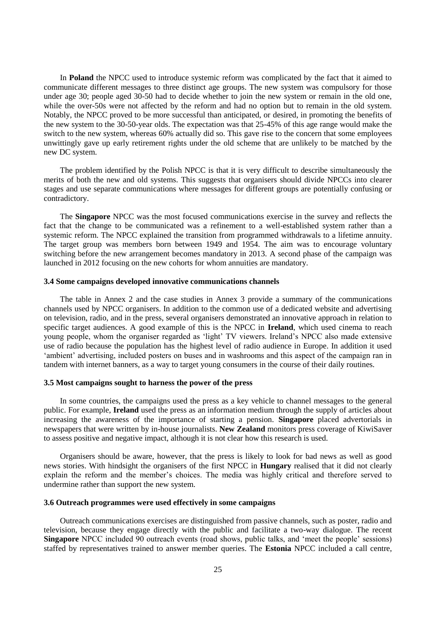In **Poland** the NPCC used to introduce systemic reform was complicated by the fact that it aimed to communicate different messages to three distinct age groups. The new system was compulsory for those under age 30; people aged 30-50 had to decide whether to join the new system or remain in the old one, while the over-50s were not affected by the reform and had no option but to remain in the old system. Notably, the NPCC proved to be more successful than anticipated, or desired, in promoting the benefits of the new system to the 30-50-year olds. The expectation was that 25-45% of this age range would make the switch to the new system, whereas 60% actually did so. This gave rise to the concern that some employees unwittingly gave up early retirement rights under the old scheme that are unlikely to be matched by the new DC system.

The problem identified by the Polish NPCC is that it is very difficult to describe simultaneously the merits of both the new and old systems. This suggests that organisers should divide NPCCs into clearer stages and use separate communications where messages for different groups are potentially confusing or contradictory.

The **Singapore** NPCC was the most focused communications exercise in the survey and reflects the fact that the change to be communicated was a refinement to a well-established system rather than a systemic reform. The NPCC explained the transition from programmed withdrawals to a lifetime annuity. The target group was members born between 1949 and 1954. The aim was to encourage voluntary switching before the new arrangement becomes mandatory in 2013. A second phase of the campaign was launched in 2012 focusing on the new cohorts for whom annuities are mandatory.

### <span id="page-24-0"></span>**3.4 Some campaigns developed innovative communications channels**

The table in Annex 2 and the case studies in Annex 3 provide a summary of the communications channels used by NPCC organisers. In addition to the common use of a dedicated website and advertising on television, radio, and in the press, several organisers demonstrated an innovative approach in relation to specific target audiences. A good example of this is the NPCC in **Ireland**, which used cinema to reach young people, whom the organiser regarded as "light" TV viewers. Ireland"s NPCC also made extensive use of radio because the population has the highest level of radio audience in Europe. In addition it used 'ambient' advertising, included posters on buses and in washrooms and this aspect of the campaign ran in tandem with internet banners, as a way to target young consumers in the course of their daily routines.

# <span id="page-24-1"></span>**3.5 Most campaigns sought to harness the power of the press**

In some countries, the campaigns used the press as a key vehicle to channel messages to the general public. For example, **Ireland** used the press as an information medium through the supply of articles about increasing the awareness of the importance of starting a pension. **Singapore** placed advertorials in newspapers that were written by in-house journalists. **New Zealand** monitors press coverage of KiwiSaver to assess positive and negative impact, although it is not clear how this research is used.

Organisers should be aware, however, that the press is likely to look for bad news as well as good news stories. With hindsight the organisers of the first NPCC in **Hungary** realised that it did not clearly explain the reform and the member"s choices. The media was highly critical and therefore served to undermine rather than support the new system.

# <span id="page-24-2"></span>**3.6 Outreach programmes were used effectively in some campaigns**

Outreach communications exercises are distinguished from passive channels, such as poster, radio and television, because they engage directly with the public and facilitate a two-way dialogue. The recent **Singapore** NPCC included 90 outreach events (road shows, public talks, and 'meet the people' sessions) staffed by representatives trained to answer member queries. The **Estonia** NPCC included a call centre,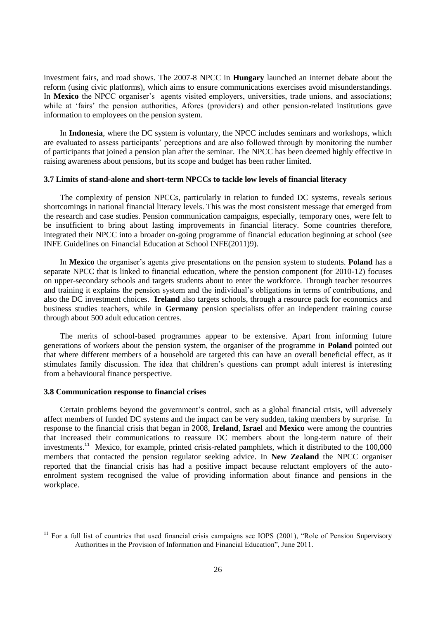investment fairs, and road shows. The 2007-8 NPCC in **Hungary** launched an internet debate about the reform (using civic platforms), which aims to ensure communications exercises avoid misunderstandings. In **Mexico** the NPCC organiser"s agents visited employers, universities, trade unions, and associations; while at 'fairs' the pension authorities, Afores (providers) and other pension-related institutions gave information to employees on the pension system.

In **Indonesia**, where the DC system is voluntary, the NPCC includes seminars and workshops, which are evaluated to assess participants" perceptions and are also followed through by monitoring the number of participants that joined a pension plan after the seminar. The NPCC has been deemed highly effective in raising awareness about pensions, but its scope and budget has been rather limited.

## <span id="page-25-0"></span>**3.7 Limits of stand-alone and short-term NPCCs to tackle low levels of financial literacy**

The complexity of pension NPCCs, particularly in relation to funded DC systems, reveals serious shortcomings in national financial literacy levels. This was the most consistent message that emerged from the research and case studies. Pension communication campaigns, especially, temporary ones, were felt to be insufficient to bring about lasting improvements in financial literacy. Some countries therefore, integrated their NPCC into a broader on-going programme of financial education beginning at school (see INFE Guidelines on Financial Education at School INFE(2011)9).

In **Mexico** the organiser"s agents give presentations on the pension system to students. **Poland** has a separate NPCC that is linked to financial education, where the pension component (for 2010-12) focuses on upper-secondary schools and targets students about to enter the workforce. Through teacher resources and training it explains the pension system and the individual"s obligations in terms of contributions, and also the DC investment choices. **Ireland** also targets schools, through a resource pack for economics and business studies teachers, while in **Germany** pension specialists offer an independent training course through about 500 adult education centres.

The merits of school-based programmes appear to be extensive. Apart from informing future generations of workers about the pension system, the organiser of the programme in **Poland** pointed out that where different members of a household are targeted this can have an overall beneficial effect, as it stimulates family discussion. The idea that children"s questions can prompt adult interest is interesting from a behavioural finance perspective.

## <span id="page-25-1"></span>**3.8 Communication response to financial crises**

Certain problems beyond the government's control, such as a global financial crisis, will adversely affect members of funded DC systems and the impact can be very sudden, taking members by surprise. In response to the financial crisis that began in 2008, **Ireland**, **Israel** and **Mexico** were among the countries that increased their communications to reassure DC members about the long-term nature of their investments.<sup>11</sup> Mexico, for example, printed crisis-related pamphlets, which it distributed to the 100,000 members that contacted the pension regulator seeking advice. In **New Zealand** the NPCC organiser reported that the financial crisis has had a positive impact because reluctant employers of the autoenrolment system recognised the value of providing information about finance and pensions in the workplace.

 $11$  For a full list of countries that used financial crisis campaigns see IOPS (2001), "Role of Pension Supervisory Authorities in the Provision of Information and Financial Education", June 2011.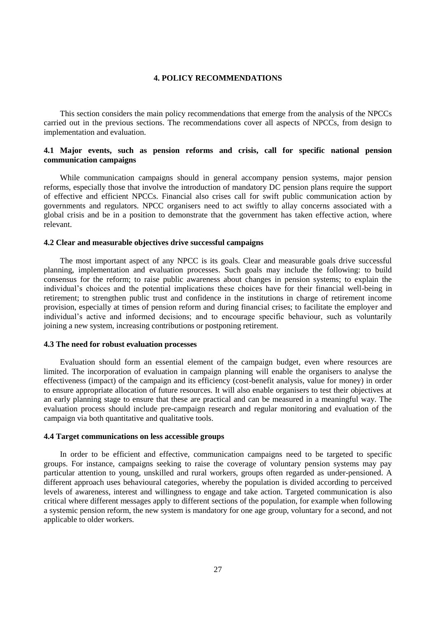# <span id="page-26-0"></span>**4. POLICY RECOMMENDATIONS**

This section considers the main policy recommendations that emerge from the analysis of the NPCCs carried out in the previous sections. The recommendations cover all aspects of NPCCs, from design to implementation and evaluation.

# <span id="page-26-1"></span>**4.1 Major events, such as pension reforms and crisis, call for specific national pension communication campaigns**

While communication campaigns should in general accompany pension systems, major pension reforms, especially those that involve the introduction of mandatory DC pension plans require the support of effective and efficient NPCCs. Financial also crises call for swift public communication action by governments and regulators. NPCC organisers need to act swiftly to allay concerns associated with a global crisis and be in a position to demonstrate that the government has taken effective action, where relevant.

#### <span id="page-26-2"></span>**4.2 Clear and measurable objectives drive successful campaigns**

The most important aspect of any NPCC is its goals. Clear and measurable goals drive successful planning, implementation and evaluation processes. Such goals may include the following: to build consensus for the reform; to raise public awareness about changes in pension systems; to explain the individual"s choices and the potential implications these choices have for their financial well-being in retirement; to strengthen public trust and confidence in the institutions in charge of retirement income provision, especially at times of pension reform and during financial crises; to facilitate the employer and individual"s active and informed decisions; and to encourage specific behaviour, such as voluntarily joining a new system, increasing contributions or postponing retirement.

# <span id="page-26-3"></span>**4.3 The need for robust evaluation processes**

Evaluation should form an essential element of the campaign budget, even where resources are limited. The incorporation of evaluation in campaign planning will enable the organisers to analyse the effectiveness (impact) of the campaign and its efficiency (cost-benefit analysis, value for money) in order to ensure appropriate allocation of future resources. It will also enable organisers to test their objectives at an early planning stage to ensure that these are practical and can be measured in a meaningful way. The evaluation process should include pre-campaign research and regular monitoring and evaluation of the campaign via both quantitative and qualitative tools.

## <span id="page-26-4"></span>**4.4 Target communications on less accessible groups**

In order to be efficient and effective, communication campaigns need to be targeted to specific groups. For instance, campaigns seeking to raise the coverage of voluntary pension systems may pay particular attention to young, unskilled and rural workers, groups often regarded as under-pensioned. A different approach uses behavioural categories, whereby the population is divided according to perceived levels of awareness, interest and willingness to engage and take action. Targeted communication is also critical where different messages apply to different sections of the population, for example when following a systemic pension reform, the new system is mandatory for one age group, voluntary for a second, and not applicable to older workers.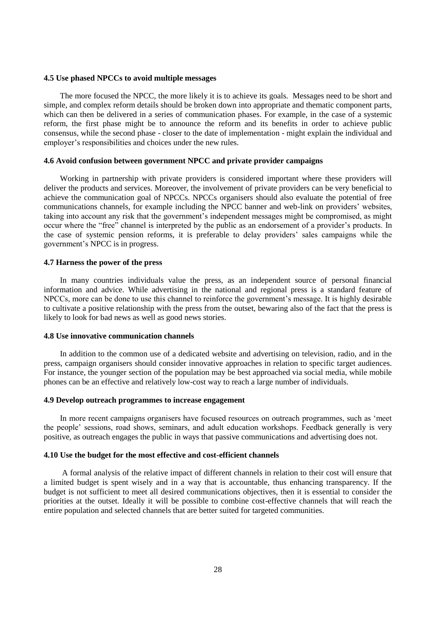## <span id="page-27-0"></span>**4.5 Use phased NPCCs to avoid multiple messages**

The more focused the NPCC, the more likely it is to achieve its goals. Messages need to be short and simple, and complex reform details should be broken down into appropriate and thematic component parts, which can then be delivered in a series of communication phases. For example, in the case of a systemic reform, the first phase might be to announce the reform and its benefits in order to achieve public consensus, while the second phase - closer to the date of implementation - might explain the individual and employer's responsibilities and choices under the new rules.

## <span id="page-27-1"></span>**4.6 Avoid confusion between government NPCC and private provider campaigns**

Working in partnership with private providers is considered important where these providers will deliver the products and services. Moreover, the involvement of private providers can be very beneficial to achieve the communication goal of NPCCs. NPCCs organisers should also evaluate the potential of free communications channels, for example including the NPCC banner and web-link on providers' websites. taking into account any risk that the government"s independent messages might be compromised, as might occur where the "free" channel is interpreted by the public as an endorsement of a provider"s products. In the case of systemic pension reforms, it is preferable to delay providers" sales campaigns while the government"s NPCC is in progress.

## <span id="page-27-2"></span>**4.7 Harness the power of the press**

In many countries individuals value the press, as an independent source of personal financial information and advice. While advertising in the national and regional press is a standard feature of NPCCs, more can be done to use this channel to reinforce the government"s message. It is highly desirable to cultivate a positive relationship with the press from the outset, bewaring also of the fact that the press is likely to look for bad news as well as good news stories.

# <span id="page-27-3"></span>**4.8 Use innovative communication channels**

In addition to the common use of a dedicated website and advertising on television, radio, and in the press, campaign organisers should consider innovative approaches in relation to specific target audiences. For instance, the younger section of the population may be best approached via social media, while mobile phones can be an effective and relatively low-cost way to reach a large number of individuals.

## <span id="page-27-4"></span>**4.9 Develop outreach programmes to increase engagement**

In more recent campaigns organisers have focused resources on outreach programmes, such as "meet the people" sessions, road shows, seminars, and adult education workshops. Feedback generally is very positive, as outreach engages the public in ways that passive communications and advertising does not.

# <span id="page-27-5"></span>**4.10 Use the budget for the most effective and cost-efficient channels**

A formal analysis of the relative impact of different channels in relation to their cost will ensure that a limited budget is spent wisely and in a way that is accountable, thus enhancing transparency. If the budget is not sufficient to meet all desired communications objectives, then it is essential to consider the priorities at the outset. Ideally it will be possible to combine cost-effective channels that will reach the entire population and selected channels that are better suited for targeted communities.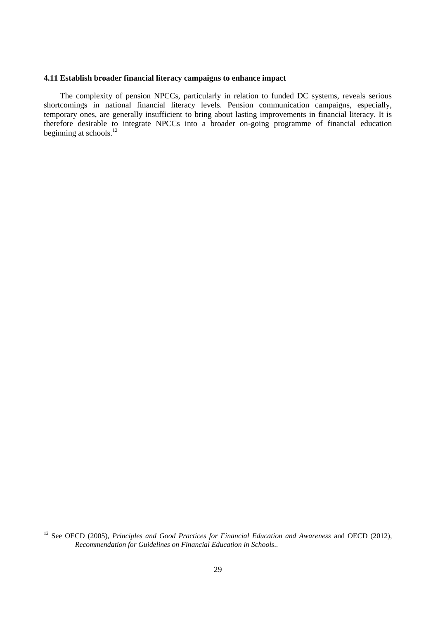# <span id="page-28-0"></span>**4.11 Establish broader financial literacy campaigns to enhance impact**

The complexity of pension NPCCs, particularly in relation to funded DC systems, reveals serious shortcomings in national financial literacy levels. Pension communication campaigns, especially, temporary ones, are generally insufficient to bring about lasting improvements in financial literacy. It is therefore desirable to integrate NPCCs into a broader on-going programme of financial education beginning at schools. $^{12}$ 

<sup>&</sup>lt;sup>12</sup> See OECD (2005), *Principles and Good Practices for Financial Education and Awareness* and OECD (2012), *Recommendation for Guidelines on Financial Education in Schools*..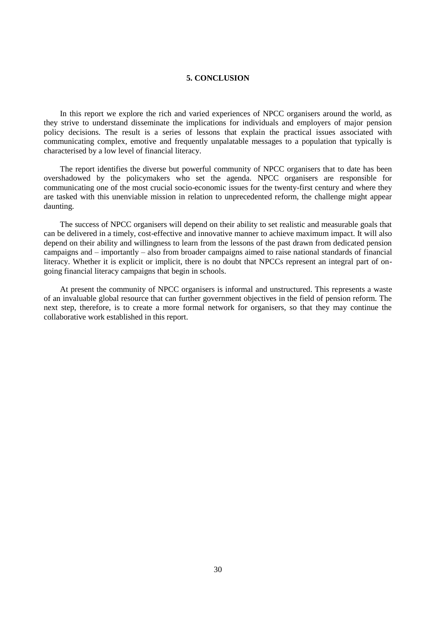# **5. CONCLUSION**

<span id="page-29-0"></span>In this report we explore the rich and varied experiences of NPCC organisers around the world, as they strive to understand disseminate the implications for individuals and employers of major pension policy decisions. The result is a series of lessons that explain the practical issues associated with communicating complex, emotive and frequently unpalatable messages to a population that typically is characterised by a low level of financial literacy.

The report identifies the diverse but powerful community of NPCC organisers that to date has been overshadowed by the policymakers who set the agenda. NPCC organisers are responsible for communicating one of the most crucial socio-economic issues for the twenty-first century and where they are tasked with this unenviable mission in relation to unprecedented reform, the challenge might appear daunting.

The success of NPCC organisers will depend on their ability to set realistic and measurable goals that can be delivered in a timely, cost-effective and innovative manner to achieve maximum impact. It will also depend on their ability and willingness to learn from the lessons of the past drawn from dedicated pension campaigns and – importantly – also from broader campaigns aimed to raise national standards of financial literacy. Whether it is explicit or implicit, there is no doubt that NPCCs represent an integral part of ongoing financial literacy campaigns that begin in schools.

At present the community of NPCC organisers is informal and unstructured. This represents a waste of an invaluable global resource that can further government objectives in the field of pension reform. The next step, therefore, is to create a more formal network for organisers, so that they may continue the collaborative work established in this report.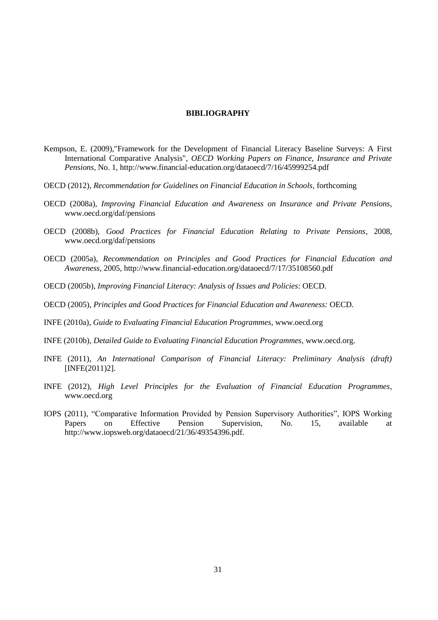#### **BIBLIOGRAPHY**

- <span id="page-30-0"></span>Kempson, E. (2009),"Framework for the Development of Financial Literacy Baseline Surveys: A First International Comparative Analysis", *OECD Working Papers on Finance, Insurance and Private Pensions*, No. 1, http://www.financial-education.org/dataoecd/7/16/45999254.pdf
- OECD (2012), *Recommendation for Guidelines on Financial Education in Schools*, forthcoming
- OECD (2008a), *Improving Financial Education and Awareness on Insurance and Private Pensions*, [www.oecd.org/daf/pensions](http://www.oecd.org/daf/pensions)
- OECD (2008b), *Good Practices for Financial Education Relating to Private Pensions*, 2008, [www.oecd.org/daf/pensions](http://www.oecd.org/daf/pensions)
- OECD (2005a), *Recommendation on Principles and Good Practices for Financial Education and Awareness*, 2005, http://www.financial-education.org/dataoecd/7/17/35108560.pdf
- OECD (2005b), *Improving Financial Literacy: Analysis of Issues and Policies*: OECD.
- OECD (2005), *Principles and Good Practices for Financial Education and Awareness:* OECD.
- INFE (2010a), *Guide to Evaluating Financial Education Programmes*, www.oecd.org
- INFE (2010b), *Detailed Guide to Evaluating Financial Education Programmes*, www.oecd.org.
- INFE (2011), *An International Comparison of Financial Literacy: Preliminary Analysis (draft)* [INFE(2011)2].
- INFE (2012), *High Level Principles for the Evaluation of Financial Education Programmes*, [www.oecd.org](http://www.oecd.org/)
- IOPS (2011), "Comparative Information Provided by Pension Supervisory Authorities", IOPS Working Papers on Effective Pension Supervision, No. 15, available at [http://www.iopsweb.org/dataoecd/21/36/49354396.pdf.](http://www.iopsweb.org/dataoecd/21/36/49354396.pdf)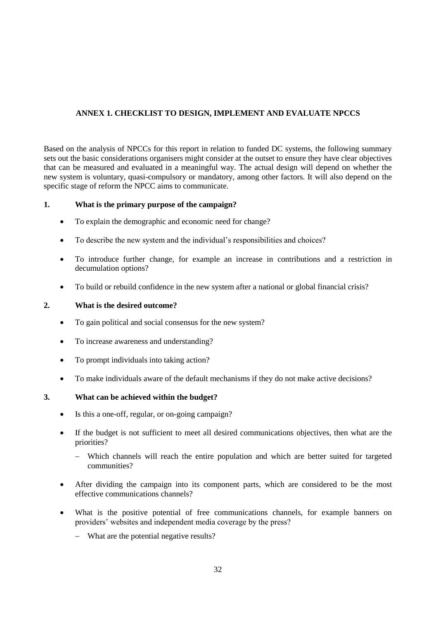# <span id="page-31-0"></span>**ANNEX 1. CHECKLIST TO DESIGN, IMPLEMENT AND EVALUATE NPCCS**

Based on the analysis of NPCCs for this report in relation to funded DC systems, the following summary sets out the basic considerations organisers might consider at the outset to ensure they have clear objectives that can be measured and evaluated in a meaningful way. The actual design will depend on whether the new system is voluntary, quasi-compulsory or mandatory, among other factors. It will also depend on the specific stage of reform the NPCC aims to communicate.

# **1. What is the primary purpose of the campaign?**

- To explain the demographic and economic need for change?
- To describe the new system and the individual's responsibilities and choices?
- To introduce further change, for example an increase in contributions and a restriction in decumulation options?
- To build or rebuild confidence in the new system after a national or global financial crisis?

# **2. What is the desired outcome?**

- To gain political and social consensus for the new system?
- To increase awareness and understanding?
- To prompt individuals into taking action?
- To make individuals aware of the default mechanisms if they do not make active decisions?

# **3. What can be achieved within the budget?**

- Is this a one-off, regular, or on-going campaign?
- If the budget is not sufficient to meet all desired communications objectives, then what are the priorities?
	- Which channels will reach the entire population and which are better suited for targeted communities?
- After dividing the campaign into its component parts, which are considered to be the most effective communications channels?
- What is the positive potential of free communications channels, for example banners on providers" websites and independent media coverage by the press?
	- What are the potential negative results?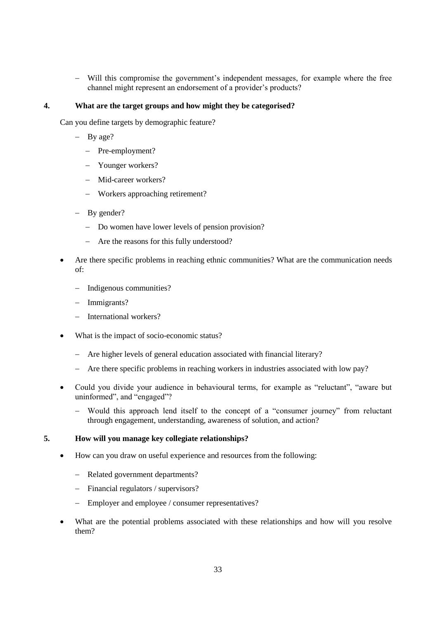- Will this compromise the government's independent messages, for example where the free channel might represent an endorsement of a provider's products?

# **4. What are the target groups and how might they be categorised?**

Can you define targets by demographic feature?

- $-$  By age?
	- Pre-employment?
	- Younger workers?
	- Mid-career workers?
	- Workers approaching retirement?
- By gender?
	- Do women have lower levels of pension provision?
	- Are the reasons for this fully understood?
- Are there specific problems in reaching ethnic communities? What are the communication needs of:
	- Indigenous communities?
	- Immigrants?
	- International workers?
- What is the impact of socio-economic status?
	- Are higher levels of general education associated with financial literary?
	- Are there specific problems in reaching workers in industries associated with low pay?
- Could you divide your audience in behavioural terms, for example as "reluctant", "aware but uninformed", and "engaged"?
	- Would this approach lend itself to the concept of a "consumer journey" from reluctant through engagement, understanding, awareness of solution, and action?

# **5. How will you manage key collegiate relationships?**

- How can you draw on useful experience and resources from the following:
	- Related government departments?
	- Financial regulators / supervisors?
	- Employer and employee / consumer representatives?
- What are the potential problems associated with these relationships and how will you resolve them?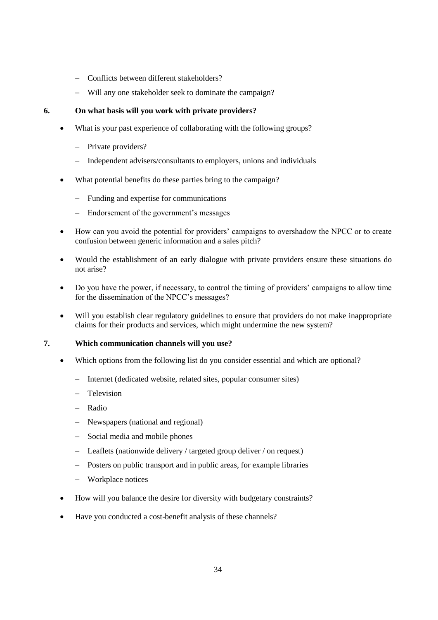- Conflicts between different stakeholders?
- Will any one stakeholder seek to dominate the campaign?

# **6. On what basis will you work with private providers?**

- What is your past experience of collaborating with the following groups?
	- Private providers?
	- Independent advisers/consultants to employers, unions and individuals
	- What potential benefits do these parties bring to the campaign?
		- Funding and expertise for communications
		- Endorsement of the government"s messages
- How can you avoid the potential for providers" campaigns to overshadow the NPCC or to create confusion between generic information and a sales pitch?
- Would the establishment of an early dialogue with private providers ensure these situations do not arise?
- Do you have the power, if necessary, to control the timing of providers" campaigns to allow time for the dissemination of the NPCC"s messages?
- Will you establish clear regulatory guidelines to ensure that providers do not make inappropriate claims for their products and services, which might undermine the new system?

# **7. Which communication channels will you use?**

- Which options from the following list do you consider essential and which are optional?
	- Internet (dedicated website, related sites, popular consumer sites)
	- Television
	- Radio
	- Newspapers (national and regional)
	- Social media and mobile phones
	- Leaflets (nationwide delivery / targeted group deliver / on request)
	- Posters on public transport and in public areas, for example libraries
	- Workplace notices
- How will you balance the desire for diversity with budgetary constraints?
- Have you conducted a cost-benefit analysis of these channels?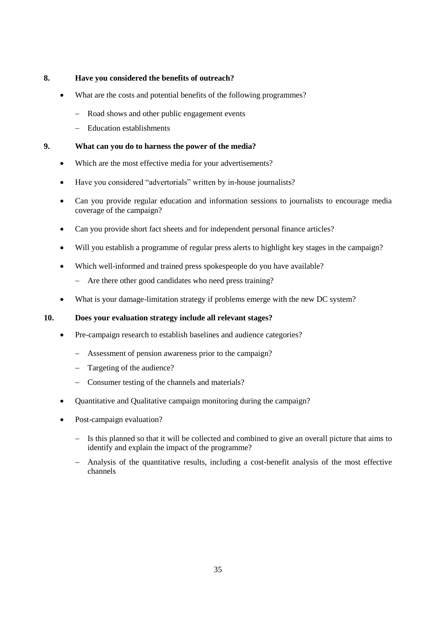# **8. Have you considered the benefits of outreach?**

- What are the costs and potential benefits of the following programmes?
	- Road shows and other public engagement events
	- Education establishments

# **9. What can you do to harness the power of the media?**

- Which are the most effective media for your advertisements?
- Have you considered "advertorials" written by in-house journalists?
- Can you provide regular education and information sessions to journalists to encourage media coverage of the campaign?
- Can you provide short fact sheets and for independent personal finance articles?
- Will you establish a programme of regular press alerts to highlight key stages in the campaign?
- Which well-informed and trained press spokespeople do you have available?
	- Are there other good candidates who need press training?
- What is your damage-limitation strategy if problems emerge with the new DC system?

# **10. Does your evaluation strategy include all relevant stages?**

- Pre-campaign research to establish baselines and audience categories?
	- Assessment of pension awareness prior to the campaign?
	- Targeting of the audience?
	- Consumer testing of the channels and materials?
- Quantitative and Qualitative campaign monitoring during the campaign?
- Post-campaign evaluation?
	- Is this planned so that it will be collected and combined to give an overall picture that aims to identify and explain the impact of the programme?
	- Analysis of the quantitative results, including a cost-benefit analysis of the most effective channels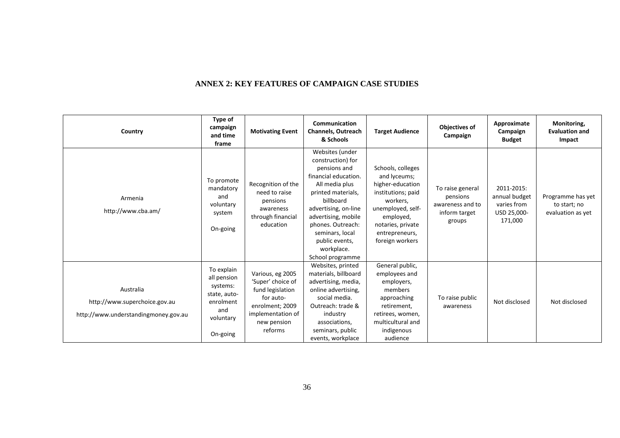| Country                                                                            | Type of<br>campaign<br>and time<br>frame                                                           | <b>Motivating Event</b>                                                                                                                  | Communication<br><b>Channels, Outreach</b><br>& Schools                                                                                                                                                                                                                      | <b>Target Audience</b>                                                                                                                                                              | <b>Objectives of</b><br>Campaign                                            | Approximate<br>Campaign<br><b>Budget</b>                             | Monitoring,<br><b>Evaluation and</b><br>Impact         |
|------------------------------------------------------------------------------------|----------------------------------------------------------------------------------------------------|------------------------------------------------------------------------------------------------------------------------------------------|------------------------------------------------------------------------------------------------------------------------------------------------------------------------------------------------------------------------------------------------------------------------------|-------------------------------------------------------------------------------------------------------------------------------------------------------------------------------------|-----------------------------------------------------------------------------|----------------------------------------------------------------------|--------------------------------------------------------|
| Armenia<br>http://www.cba.am/                                                      | To promote<br>mandatory<br>and<br>voluntary<br>system<br>On-going                                  | Recognition of the<br>need to raise<br>pensions<br>awareness<br>through financial<br>education                                           | Websites (under<br>construction) for<br>pensions and<br>financial education.<br>All media plus<br>printed materials,<br>billboard<br>advertising, on-line<br>advertising, mobile<br>phones. Outreach:<br>seminars, local<br>public events,<br>workplace.<br>School programme | Schools, colleges<br>and lyceums;<br>higher-education<br>institutions; paid<br>workers,<br>unemployed, self-<br>employed,<br>notaries, private<br>entrepreneurs,<br>foreign workers | To raise general<br>pensions<br>awareness and to<br>inform target<br>groups | 2011-2015:<br>annual budget<br>varies from<br>USD 25,000-<br>171,000 | Programme has yet<br>to start; no<br>evaluation as yet |
| Australia<br>http://www.superchoice.gov.au<br>http://www.understandingmoney.gov.au | To explain<br>all pension<br>systems:<br>state, auto-<br>enrolment<br>and<br>voluntary<br>On-going | Various, eg 2005<br>'Super' choice of<br>fund legislation<br>for auto-<br>enrolment; 2009<br>implementation of<br>new pension<br>reforms | Websites, printed<br>materials, billboard<br>advertising, media,<br>online advertising,<br>social media.<br>Outreach: trade &<br>industry<br>associations,<br>seminars, public<br>events, workplace                                                                          | General public,<br>employees and<br>employers,<br>members<br>approaching<br>retirement,<br>retirees, women,<br>multicultural and<br>indigenous<br>audience                          | To raise public<br>awareness                                                | Not disclosed                                                        | Not disclosed                                          |

# <span id="page-35-0"></span>**ANNEX 2: KEY FEATURES OF CAMPAIGN CASE STUDIES**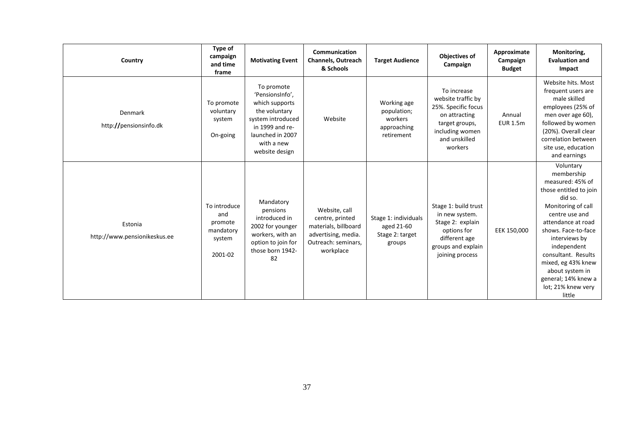| Country                                 | Type of<br>campaign<br>and time<br>frame                         | <b>Motivating Event</b>                                                                                                                                      | Communication<br><b>Channels, Outreach</b><br>& Schools                                                             | <b>Target Audience</b>                                             | <b>Objectives of</b><br>Campaign                                                                                                           | Approximate<br>Campaign<br><b>Budget</b> | Monitoring,<br><b>Evaluation and</b><br>Impact                                                                                                                                                                                                                                                                               |
|-----------------------------------------|------------------------------------------------------------------|--------------------------------------------------------------------------------------------------------------------------------------------------------------|---------------------------------------------------------------------------------------------------------------------|--------------------------------------------------------------------|--------------------------------------------------------------------------------------------------------------------------------------------|------------------------------------------|------------------------------------------------------------------------------------------------------------------------------------------------------------------------------------------------------------------------------------------------------------------------------------------------------------------------------|
| Denmark<br>http://pensionsinfo.dk       | To promote<br>voluntary<br>system<br>On-going                    | To promote<br>'PensionsInfo',<br>which supports<br>the voluntary<br>system introduced<br>in 1999 and re-<br>launched in 2007<br>with a new<br>website design | Website                                                                                                             | Working age<br>population;<br>workers<br>approaching<br>retirement | To increase<br>website traffic by<br>25%. Specific focus<br>on attracting<br>target groups,<br>including women<br>and unskilled<br>workers | Annual<br><b>EUR 1.5m</b>                | Website hits. Most<br>frequent users are<br>male skilled<br>employees (25% of<br>men over age 60),<br>followed by women<br>(20%). Overall clear<br>correlation between<br>site use, education<br>and earnings                                                                                                                |
| Estonia<br>http://www.pensionikeskus.ee | To introduce<br>and<br>promote<br>mandatory<br>system<br>2001-02 | Mandatory<br>pensions<br>introduced in<br>2002 for younger<br>workers, with an<br>option to join for<br>those born 1942-<br>82                               | Website, call<br>centre, printed<br>materials, billboard<br>advertising, media.<br>Outreach: seminars,<br>workplace | Stage 1: individuals<br>aged 21-60<br>Stage 2: target<br>groups    | Stage 1: build trust<br>in new system.<br>Stage 2: explain<br>options for<br>different age<br>groups and explain<br>joining process        | EEK 150,000                              | Voluntary<br>membership<br>measured: 45% of<br>those entitled to join<br>did so.<br>Monitoring of call<br>centre use and<br>attendance at road<br>shows. Face-to-face<br>interviews by<br>independent<br>consultant. Results<br>mixed, eg 43% knew<br>about system in<br>general; 14% knew a<br>lot; 21% knew very<br>little |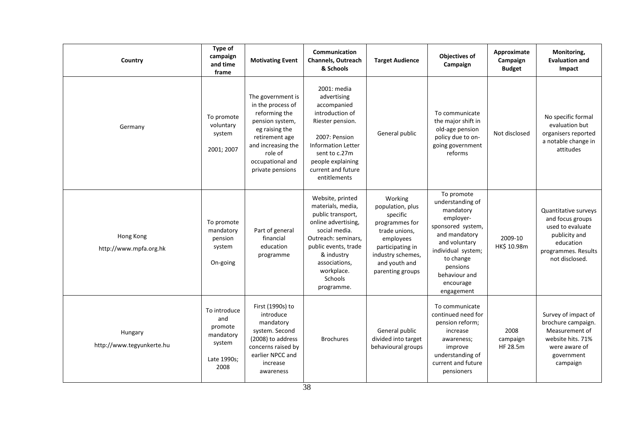| Country                              | Type of<br>campaign<br>and time<br>frame                                     | <b>Motivating Event</b>                                                                                                                                                                 | Communication<br><b>Channels, Outreach</b><br>& Schools                                                                                                                                                                        | <b>Target Audience</b>                                                                                                                                                | <b>Objectives of</b><br>Campaign                                                                                                                                                                           | Approximate<br>Campaign<br><b>Budget</b> | Monitoring,<br><b>Evaluation and</b><br>Impact                                                                                      |
|--------------------------------------|------------------------------------------------------------------------------|-----------------------------------------------------------------------------------------------------------------------------------------------------------------------------------------|--------------------------------------------------------------------------------------------------------------------------------------------------------------------------------------------------------------------------------|-----------------------------------------------------------------------------------------------------------------------------------------------------------------------|------------------------------------------------------------------------------------------------------------------------------------------------------------------------------------------------------------|------------------------------------------|-------------------------------------------------------------------------------------------------------------------------------------|
| Germany                              | To promote<br>voluntary<br>system<br>2001; 2007                              | The government is<br>in the process of<br>reforming the<br>pension system,<br>eg raising the<br>retirement age<br>and increasing the<br>role of<br>occupational and<br>private pensions | 2001: media<br>advertising<br>accompanied<br>introduction of<br>Riester pension.<br>2007: Pension<br><b>Information Letter</b><br>sent to c.27m<br>people explaining<br>current and future<br>entitlements                     | General public                                                                                                                                                        | To communicate<br>the major shift in<br>old-age pension<br>policy due to on-<br>going government<br>reforms                                                                                                | Not disclosed                            | No specific formal<br>evaluation but<br>organisers reported<br>a notable change in<br>attitudes                                     |
| Hong Kong<br>http://www.mpfa.org.hk  | To promote<br>mandatory<br>pension<br>system<br>On-going                     | Part of general<br>financial<br>education<br>programme                                                                                                                                  | Website, printed<br>materials, media,<br>public transport,<br>online advertising,<br>social media.<br>Outreach: seminars,<br>public events, trade<br>& industry<br>associations,<br>workplace.<br><b>Schools</b><br>programme. | Working<br>population, plus<br>specific<br>programmes for<br>trade unions,<br>employees<br>participating in<br>industry schemes,<br>and youth and<br>parenting groups | To promote<br>understanding of<br>mandatory<br>employer-<br>sponsored system,<br>and mandatory<br>and voluntary<br>individual system;<br>to change<br>pensions<br>behaviour and<br>encourage<br>engagement | 2009-10<br>HK\$ 10.98m                   | Quantitative surveys<br>and focus groups<br>used to evaluate<br>publicity and<br>education<br>programmes. Results<br>not disclosed. |
| Hungary<br>http://www.tegyunkerte.hu | To introduce<br>and<br>promote<br>mandatory<br>system<br>Late 1990s;<br>2008 | First (1990s) to<br>introduce<br>mandatory<br>system. Second<br>(2008) to address<br>concerns raised by<br>earlier NPCC and<br>increase<br>awareness                                    | <b>Brochures</b>                                                                                                                                                                                                               | General public<br>divided into target<br>behavioural groups                                                                                                           | To communicate<br>continued need for<br>pension reform;<br>increase<br>awareness;<br>improve<br>understanding of<br>current and future<br>pensioners                                                       | 2008<br>campaign<br>HF 28.5m             | Survey of impact of<br>brochure campaign.<br>Measurement of<br>website hits. 71%<br>were aware of<br>government<br>campaign         |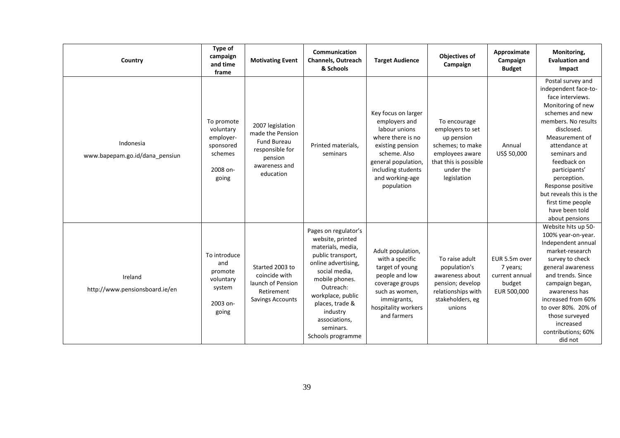| Country                                     | Type of<br>campaign<br>and time<br>frame                                          | <b>Motivating Event</b>                                                                                                | Communication<br><b>Channels, Outreach</b><br>& Schools                                                                                                                                                                                                          | <b>Target Audience</b>                                                                                                                                                                       | Objectives of<br>Campaign                                                                                                                  | Approximate<br>Campaign<br><b>Budget</b>                             | Monitoring,<br><b>Evaluation and</b><br>Impact                                                                                                                                                                                                                                                                                                        |
|---------------------------------------------|-----------------------------------------------------------------------------------|------------------------------------------------------------------------------------------------------------------------|------------------------------------------------------------------------------------------------------------------------------------------------------------------------------------------------------------------------------------------------------------------|----------------------------------------------------------------------------------------------------------------------------------------------------------------------------------------------|--------------------------------------------------------------------------------------------------------------------------------------------|----------------------------------------------------------------------|-------------------------------------------------------------------------------------------------------------------------------------------------------------------------------------------------------------------------------------------------------------------------------------------------------------------------------------------------------|
| Indonesia<br>www.bapepam.go.id/dana_pensiun | To promote<br>voluntary<br>employer-<br>sponsored<br>schemes<br>2008 on-<br>going | 2007 legislation<br>made the Pension<br><b>Fund Bureau</b><br>responsible for<br>pension<br>awareness and<br>education | Printed materials,<br>seminars                                                                                                                                                                                                                                   | Key focus on larger<br>employers and<br>labour unions<br>where there is no<br>existing pension<br>scheme. Also<br>general population,<br>including students<br>and working-age<br>population | To encourage<br>employers to set<br>up pension<br>schemes; to make<br>employees aware<br>that this is possible<br>under the<br>legislation | Annual<br>US\$ 50,000                                                | Postal survey and<br>independent face-to-<br>face interviews.<br>Monitoring of new<br>schemes and new<br>members. No results<br>disclosed.<br>Measurement of<br>attendance at<br>seminars and<br>feedback on<br>participants'<br>perception.<br>Response positive<br>but reveals this is the<br>first time people<br>have been told<br>about pensions |
| Ireland<br>http://www.pensionsboard.ie/en   | To introduce<br>and<br>promote<br>voluntary<br>system<br>2003 on-<br>going        | Started 2003 to<br>coincide with<br>launch of Pension<br>Retirement<br><b>Savings Accounts</b>                         | Pages on regulator's<br>website, printed<br>materials, media,<br>public transport,<br>online advertising,<br>social media,<br>mobile phones.<br>Outreach:<br>workplace, public<br>places, trade &<br>industry<br>associations,<br>seminars.<br>Schools programme | Adult population,<br>with a specific<br>target of young<br>people and low<br>coverage groups<br>such as women,<br>immigrants,<br>hospitality workers<br>and farmers                          | To raise adult<br>population's<br>awareness about<br>pension; develop<br>relationships with<br>stakeholders, eg<br>unions                  | EUR 5.5m over<br>7 years;<br>current annual<br>budget<br>EUR 500,000 | Website hits up 50-<br>100% year-on-year.<br>Independent annual<br>market-research<br>survey to check<br>general awareness<br>and trends. Since<br>campaign began,<br>awareness has<br>increased from 60%<br>to over 80%, 20% of<br>those surveyed<br>increased<br>contributions; 60%<br>did not                                                      |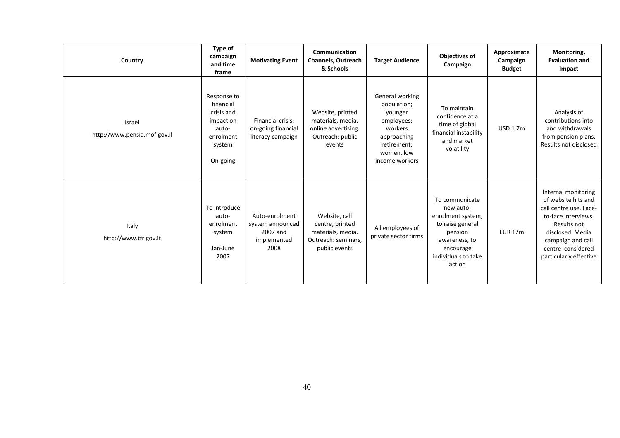| Country                                | <b>Type of</b><br>campaign<br>and time<br>frame                                                 | <b>Motivating Event</b>                                               | Communication<br><b>Channels, Outreach</b><br>& Schools                                       | <b>Target Audience</b>                                                                                                           | <b>Objectives of</b><br>Campaign                                                                                                               | Approximate<br>Campaign<br><b>Budget</b> | Monitoring,<br><b>Evaluation and</b><br>Impact                                                                                                                                                     |
|----------------------------------------|-------------------------------------------------------------------------------------------------|-----------------------------------------------------------------------|-----------------------------------------------------------------------------------------------|----------------------------------------------------------------------------------------------------------------------------------|------------------------------------------------------------------------------------------------------------------------------------------------|------------------------------------------|----------------------------------------------------------------------------------------------------------------------------------------------------------------------------------------------------|
| Israel<br>http://www.pensia.mof.gov.il | Response to<br>financial<br>crisis and<br>impact on<br>auto-<br>enrolment<br>system<br>On-going | Financial crisis:<br>on-going financial<br>literacy campaign          | Website, printed<br>materials, media,<br>online advertising.<br>Outreach: public<br>events    | General working<br>population;<br>younger<br>employees;<br>workers<br>approaching<br>retirement;<br>women, low<br>income workers | To maintain<br>confidence at a<br>time of global<br>financial instability<br>and market<br>volatility                                          | <b>USD 1.7m</b>                          | Analysis of<br>contributions into<br>and withdrawals<br>from pension plans.<br>Results not disclosed                                                                                               |
| Italy<br>http://www.tfr.gov.it         | To introduce<br>auto-<br>enrolment<br>system<br>Jan-June<br>2007                                | Auto-enrolment<br>system announced<br>2007 and<br>implemented<br>2008 | Website, call<br>centre, printed<br>materials, media.<br>Outreach: seminars,<br>public events | All employees of<br>private sector firms                                                                                         | To communicate<br>new auto-<br>enrolment system,<br>to raise general<br>pension<br>awareness, to<br>encourage<br>individuals to take<br>action | <b>EUR 17m</b>                           | Internal monitoring<br>of website hits and<br>call centre use. Face-<br>to-face interviews.<br>Results not<br>disclosed. Media<br>campaign and call<br>centre considered<br>particularly effective |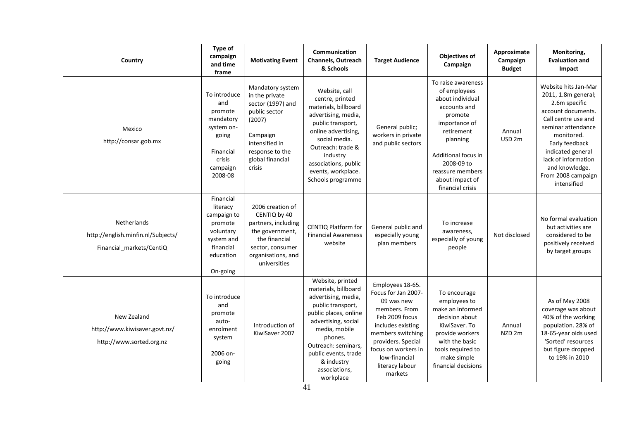| Country                                                                       | Type of<br>campaign<br>and time<br>frame                                                                         | <b>Motivating Event</b>                                                                                                                                           | Communication<br><b>Channels, Outreach</b><br>& Schools                                                                                                                                                                                                     | <b>Target Audience</b>                                                                                                                                                                                                         | <b>Objectives of</b><br>Campaign                                                                                                                                                                                             | Approximate<br>Campaign<br><b>Budget</b> | Monitoring,<br><b>Evaluation and</b><br>Impact                                                                                                                                                                                                                     |
|-------------------------------------------------------------------------------|------------------------------------------------------------------------------------------------------------------|-------------------------------------------------------------------------------------------------------------------------------------------------------------------|-------------------------------------------------------------------------------------------------------------------------------------------------------------------------------------------------------------------------------------------------------------|--------------------------------------------------------------------------------------------------------------------------------------------------------------------------------------------------------------------------------|------------------------------------------------------------------------------------------------------------------------------------------------------------------------------------------------------------------------------|------------------------------------------|--------------------------------------------------------------------------------------------------------------------------------------------------------------------------------------------------------------------------------------------------------------------|
| Mexico<br>http://consar.gob.mx                                                | To introduce<br>and<br>promote<br>mandatory<br>system on-<br>going<br>Financial<br>crisis<br>campaign<br>2008-08 | Mandatory system<br>in the private<br>sector (1997) and<br>public sector<br>(2007)<br>Campaign<br>intensified in<br>response to the<br>global financial<br>crisis | Website, call<br>centre, printed<br>materials, billboard<br>advertising, media,<br>public transport,<br>online advertising,<br>social media.<br>Outreach: trade &<br>industry<br>associations, public<br>events, workplace.<br>Schools programme            | General public;<br>workers in private<br>and public sectors                                                                                                                                                                    | To raise awareness<br>of employees<br>about individual<br>accounts and<br>promote<br>importance of<br>retirement<br>planning<br>Additional focus in<br>2008-09 to<br>reassure members<br>about impact of<br>financial crisis | Annual<br>USD <sub>2m</sub>              | Website hits Jan-Mar<br>2011, 1.8m general;<br>2.6m specific<br>account documents.<br>Call centre use and<br>seminar attendance<br>monitored.<br>Early feedback<br>indicated general<br>lack of information<br>and knowledge.<br>From 2008 campaign<br>intensified |
| Netherlands<br>http://english.minfin.nl/Subjects/<br>Financial markets/CentiQ | Financial<br>literacy<br>campaign to<br>promote<br>voluntary<br>system and<br>financial<br>education<br>On-going | 2006 creation of<br>CENTIQ by 40<br>partners, including<br>the government,<br>the financial<br>sector, consumer<br>organisations, and<br>universities             | <b>CENTIQ Platform for</b><br><b>Financial Awareness</b><br>website                                                                                                                                                                                         | General public and<br>especially young<br>plan members                                                                                                                                                                         | To increase<br>awareness,<br>especially of young<br>people                                                                                                                                                                   | Not disclosed                            | No formal evaluation<br>but activities are<br>considered to be<br>positively received<br>by target groups                                                                                                                                                          |
| New Zealand<br>http://www.kiwisaver.govt.nz/<br>http://www.sorted.org.nz      | To introduce<br>and<br>promote<br>auto-<br>enrolment<br>system<br>2006 on-<br>going                              | Introduction of<br>KiwiSaver 2007                                                                                                                                 | Website, printed<br>materials, billboard<br>advertising, media,<br>public transport,<br>public places, online<br>advertising, social<br>media, mobile<br>phones.<br>Outreach: seminars,<br>public events, trade<br>& industry<br>associations,<br>workplace | Employees 18-65.<br>Focus for Jan 2007-<br>09 was new<br>members. From<br>Feb 2009 focus<br>includes existing<br>members switching<br>providers. Special<br>focus on workers in<br>low-financial<br>literacy labour<br>markets | To encourage<br>employees to<br>make an informed<br>decision about<br>KiwiSaver. To<br>provide workers<br>with the basic<br>tools required to<br>make simple<br>financial decisions                                          | Annual<br>NZD <sub>2m</sub>              | As of May 2008<br>coverage was about<br>40% of the working<br>population. 28% of<br>18-65-year olds used<br>'Sorted' resources<br>but figure dropped<br>to 19% in 2010                                                                                             |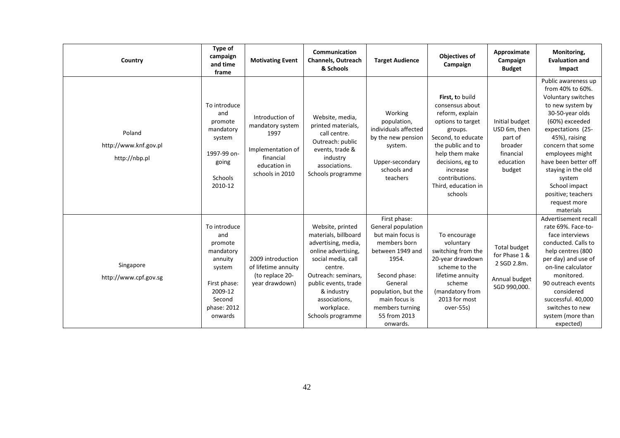| Country                                          | Type of<br>campaign<br>and time<br>frame                                                                                        | <b>Motivating Event</b>                                                                                          | Communication<br><b>Channels, Outreach</b><br>& Schools                                                                                                                                                                                  | <b>Target Audience</b>                                                                                                                                                                                                  | <b>Objectives of</b><br>Campaign                                                                                                                                                                                                       | Approximate<br>Campaign<br><b>Budget</b>                                                 | Monitoring,<br><b>Evaluation and</b><br>Impact                                                                                                                                                                                                                                                                                   |
|--------------------------------------------------|---------------------------------------------------------------------------------------------------------------------------------|------------------------------------------------------------------------------------------------------------------|------------------------------------------------------------------------------------------------------------------------------------------------------------------------------------------------------------------------------------------|-------------------------------------------------------------------------------------------------------------------------------------------------------------------------------------------------------------------------|----------------------------------------------------------------------------------------------------------------------------------------------------------------------------------------------------------------------------------------|------------------------------------------------------------------------------------------|----------------------------------------------------------------------------------------------------------------------------------------------------------------------------------------------------------------------------------------------------------------------------------------------------------------------------------|
| Poland<br>http://www.knf.gov.pl<br>http://nbp.pl | To introduce<br>and<br>promote<br>mandatory<br>system<br>1997-99 on-<br>going<br>Schools<br>2010-12                             | Introduction of<br>mandatory system<br>1997<br>Implementation of<br>financial<br>education in<br>schools in 2010 | Website, media,<br>printed materials,<br>call centre.<br>Outreach: public<br>events, trade &<br>industry<br>associations.<br>Schools programme                                                                                           | Working<br>population,<br>individuals affected<br>by the new pension<br>system.<br>Upper-secondary<br>schools and<br>teachers                                                                                           | First, to build<br>consensus about<br>reform, explain<br>options to target<br>groups.<br>Second, to educate<br>the public and to<br>help them make<br>decisions, eg to<br>increase<br>contributions.<br>Third, education in<br>schools | Initial budget<br>USD 6m, then<br>part of<br>broader<br>financial<br>education<br>budget | Public awareness up<br>from 40% to 60%.<br>Voluntary switches<br>to new system by<br>30-50-year olds<br>(60%) exceeded<br>expectations (25-<br>45%), raising<br>concern that some<br>employees might<br>have been better off<br>staying in the old<br>system<br>School impact<br>positive; teachers<br>request more<br>materials |
| Singapore<br>http://www.cpf.gov.sg               | To introduce<br>and<br>promote<br>mandatory<br>annuity<br>system<br>First phase:<br>2009-12<br>Second<br>phase: 2012<br>onwards | 2009 introduction<br>of lifetime annuity<br>(to replace 20-<br>year drawdown)                                    | Website, printed<br>materials, billboard<br>advertising, media,<br>online advertising,<br>social media, call<br>centre.<br>Outreach: seminars,<br>public events, trade<br>& industry<br>associations,<br>workplace.<br>Schools programme | First phase:<br>General population<br>but main focus is<br>members born<br>between 1949 and<br>1954.<br>Second phase:<br>General<br>population, but the<br>main focus is<br>members turning<br>55 from 2013<br>onwards. | To encourage<br>voluntary<br>switching from the<br>20-year drawdown<br>scheme to the<br>lifetime annuity<br>scheme<br>(mandatory from<br>2013 for most<br>over-55s)                                                                    | <b>Total budget</b><br>for Phase 1 &<br>2 SGD 2.8m.<br>Annual budget<br>SGD 990,000.     | Advertisement recall<br>rate 69%. Face-to-<br>face interviews<br>conducted. Calls to<br>help centres (800<br>per day) and use of<br>on-line calculator<br>monitored.<br>90 outreach events<br>considered<br>successful. 40,000<br>switches to new<br>system (more than<br>expected)                                              |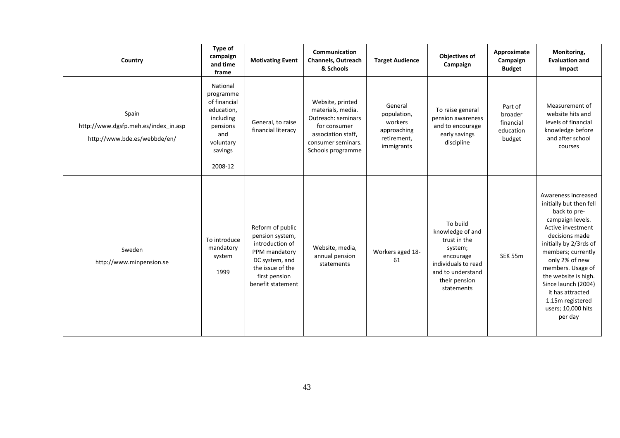| Country                                                                       | Type of<br>campaign<br>and time<br>frame                                                                               | <b>Motivating Event</b>                                                                                                                             | Communication<br><b>Channels, Outreach</b><br>& Schools                                                                                             | <b>Target Audience</b>                                                        | Objectives of<br>Campaign                                                                                                                       | Approximate<br>Campaign<br><b>Budget</b>               | Monitoring,<br><b>Evaluation and</b><br>Impact                                                                                                                                                                                                                                                                                           |
|-------------------------------------------------------------------------------|------------------------------------------------------------------------------------------------------------------------|-----------------------------------------------------------------------------------------------------------------------------------------------------|-----------------------------------------------------------------------------------------------------------------------------------------------------|-------------------------------------------------------------------------------|-------------------------------------------------------------------------------------------------------------------------------------------------|--------------------------------------------------------|------------------------------------------------------------------------------------------------------------------------------------------------------------------------------------------------------------------------------------------------------------------------------------------------------------------------------------------|
| Spain<br>http://www.dgsfp.meh.es/index_in.asp<br>http://www.bde.es/webbde/en/ | National<br>programme<br>of financial<br>education,<br>including<br>pensions<br>and<br>voluntary<br>savings<br>2008-12 | General, to raise<br>financial literacy                                                                                                             | Website, printed<br>materials, media.<br><b>Outreach: seminars</b><br>for consumer<br>association staff,<br>consumer seminars.<br>Schools programme | General<br>population,<br>workers<br>approaching<br>retirement,<br>immigrants | To raise general<br>pension awareness<br>and to encourage<br>early savings<br>discipline                                                        | Part of<br>broader<br>financial<br>education<br>budget | Measurement of<br>website hits and<br>levels of financial<br>knowledge before<br>and after school<br>courses                                                                                                                                                                                                                             |
| Sweden<br>http://www.minpension.se                                            | To introduce<br>mandatory<br>system<br>1999                                                                            | Reform of public<br>pension system,<br>introduction of<br>PPM mandatory<br>DC system, and<br>the issue of the<br>first pension<br>benefit statement | Website, media,<br>annual pension<br>statements                                                                                                     | Workers aged 18-<br>61                                                        | To build<br>knowledge of and<br>trust in the<br>system;<br>encourage<br>individuals to read<br>and to understand<br>their pension<br>statements | SEK 55m                                                | Awareness increased<br>initially but then fell<br>back to pre-<br>campaign levels.<br>Active investment<br>decisions made<br>initially by 2/3rds of<br>members; currently<br>only 2% of new<br>members. Usage of<br>the website is high.<br>Since launch (2004)<br>it has attracted<br>1.15m registered<br>users; 10,000 hits<br>per day |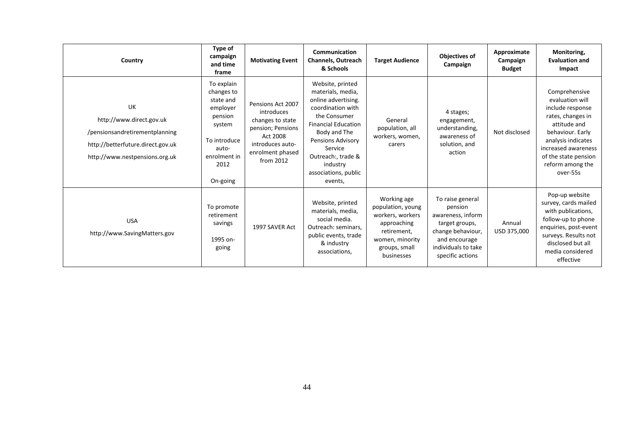| Country                                                                                                                                        | Type of<br>campaign<br>and time<br>frame                                                                                            | <b>Motivating Event</b>                                                                                                                   | Communication<br><b>Channels, Outreach</b><br>& Schools                                                                                                                                                                                              | <b>Target Audience</b>                                                                                                               | Objectives of<br>Campaign                                                                                                                           | Approximate<br>Campaign<br><b>Budget</b> | Monitoring,<br><b>Evaluation and</b><br>Impact                                                                                                                                                                     |
|------------------------------------------------------------------------------------------------------------------------------------------------|-------------------------------------------------------------------------------------------------------------------------------------|-------------------------------------------------------------------------------------------------------------------------------------------|------------------------------------------------------------------------------------------------------------------------------------------------------------------------------------------------------------------------------------------------------|--------------------------------------------------------------------------------------------------------------------------------------|-----------------------------------------------------------------------------------------------------------------------------------------------------|------------------------------------------|--------------------------------------------------------------------------------------------------------------------------------------------------------------------------------------------------------------------|
| <b>UK</b><br>http://www.direct.gov.uk<br>/pensionsandretirementplanning<br>http://betterfuture.direct.gov.uk<br>http://www.nestpensions.org.uk | To explain<br>changes to<br>state and<br>employer<br>pension<br>system<br>To introduce<br>auto-<br>enrolment in<br>2012<br>On-going | Pensions Act 2007<br>introduces<br>changes to state<br>pension; Pensions<br>Act 2008<br>introduces auto-<br>enrolment phased<br>from 2012 | Website, printed<br>materials, media,<br>online advertising.<br>coordination with<br>the Consumer<br><b>Financial Education</b><br>Body and The<br>Pensions Advisory<br>Service<br>Outreach:, trade &<br>industry<br>associations, public<br>events, | General<br>population, all<br>workers, women,<br>carers                                                                              | 4 stages;<br>engagement,<br>understanding,<br>awareness of<br>solution, and<br>action                                                               | Not disclosed                            | Comprehensive<br>evaluation will<br>include response<br>rates, changes in<br>attitude and<br>behaviour. Early<br>analysis indicates<br>increased awareness<br>of the state pension<br>reform among the<br>over-55s |
| <b>USA</b><br>http://www.SavingMatters.gov                                                                                                     | To promote<br>retirement<br>savings<br>1995 on-<br>going                                                                            | 1997 SAVER Act                                                                                                                            | Website, printed<br>materials, media,<br>social media.<br>Outreach: seminars,<br>public events, trade<br>& industry<br>associations,                                                                                                                 | Working age<br>population, young<br>workers, workers<br>approaching<br>retirement.<br>women, minority<br>groups, small<br>businesses | To raise general<br>pension<br>awareness, inform<br>target groups,<br>change behaviour,<br>and encourage<br>individuals to take<br>specific actions | Annual<br>USD 375,000                    | Pop-up website<br>survey, cards mailed<br>with publications,<br>follow-up to phone<br>enquiries, post-event<br>surveys. Results not<br>disclosed but all<br>media considered<br>effective                          |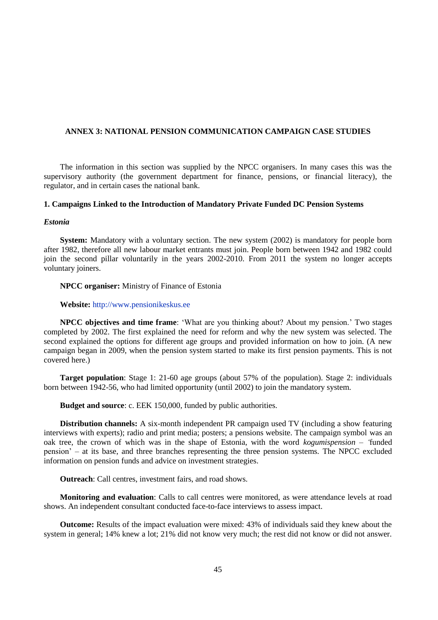# <span id="page-44-0"></span>**ANNEX 3: NATIONAL PENSION COMMUNICATION CAMPAIGN CASE STUDIES**

The information in this section was supplied by the NPCC organisers. In many cases this was the supervisory authority (the government department for finance, pensions, or financial literacy), the regulator, and in certain cases the national bank.

# **1. Campaigns Linked to the Introduction of Mandatory Private Funded DC Pension Systems**

# *Estonia*

**System:** Mandatory with a voluntary section. The new system (2002) is mandatory for people born after 1982, therefore all new labour market entrants must join. People born between 1942 and 1982 could join the second pillar voluntarily in the years 2002-2010. From 2011 the system no longer accepts voluntary joiners.

# **NPCC organiser:** Ministry of Finance of Estonia

# **Website:** [http://www.pensionikeskus.ee](http://www.pensionikeskus.ee/)

**NPCC objectives and time frame**: "What are you thinking about? About my pension." Two stages completed by 2002. The first explained the need for reform and why the new system was selected. The second explained the options for different age groups and provided information on how to join. (A new campaign began in 2009, when the pension system started to make its first pension payments. This is not covered here.)

**Target population:** Stage 1: 21-60 age groups (about 57% of the population). Stage 2: individuals born between 1942-56, who had limited opportunity (until 2002) to join the mandatory system.

**Budget and source**: c. EEK 150,000, funded by public authorities.

**Distribution channels:** A six-month independent PR campaign used TV (including a show featuring interviews with experts); radio and print media; posters; a pensions website. The campaign symbol was an oak tree, the crown of which was in the shape of Estonia, with the word *kogumispension – '*funded pension" – at its base, and three branches representing the three pension systems*.* The NPCC excluded information on pension funds and advice on investment strategies.

**Outreach:** Call centres, investment fairs, and road shows.

**Monitoring and evaluation**: Calls to call centres were monitored, as were attendance levels at road shows. An independent consultant conducted face-to-face interviews to assess impact.

**Outcome:** Results of the impact evaluation were mixed: 43% of individuals said they knew about the system in general; 14% knew a lot; 21% did not know very much; the rest did not know or did not answer.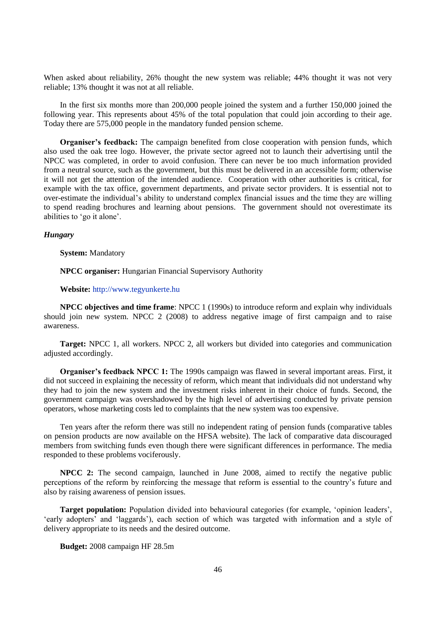When asked about reliability, 26% thought the new system was reliable; 44% thought it was not very reliable; 13% thought it was not at all reliable.

In the first six months more than 200,000 people joined the system and a further 150,000 joined the following year. This represents about 45% of the total population that could join according to their age. Today there are 575,000 people in the mandatory funded pension scheme.

**Organiser's feedback:** The campaign benefited from close cooperation with pension funds, which also used the oak tree logo. However, the private sector agreed not to launch their advertising until the NPCC was completed, in order to avoid confusion. There can never be too much information provided from a neutral source, such as the government, but this must be delivered in an accessible form; otherwise it will not get the attention of the intended audience. Cooperation with other authorities is critical, for example with the tax office, government departments, and private sector providers. It is essential not to over-estimate the individual"s ability to understand complex financial issues and the time they are willing to spend reading brochures and learning about pensions. The government should not overestimate its abilities to "go it alone".

#### *Hungary*

**System:** Mandatory

**NPCC organiser:** Hungarian Financial Supervisory Authority

**Website:** [http://www.tegyunkerte.hu](http://www.tegyunkerte.hu/)

**NPCC objectives and time frame**: NPCC 1 (1990s) to introduce reform and explain why individuals should join new system. NPCC 2 (2008) to address negative image of first campaign and to raise awareness.

**Target:** NPCC 1, all workers. NPCC 2, all workers but divided into categories and communication adjusted accordingly.

**Organiser's feedback NPCC 1:** The 1990s campaign was flawed in several important areas. First, it did not succeed in explaining the necessity of reform, which meant that individuals did not understand why they had to join the new system and the investment risks inherent in their choice of funds. Second, the government campaign was overshadowed by the high level of advertising conducted by private pension operators, whose marketing costs led to complaints that the new system was too expensive.

Ten years after the reform there was still no independent rating of pension funds (comparative tables on pension products are now available on the HFSA website). The lack of comparative data discouraged members from switching funds even though there were significant differences in performance. The media responded to these problems vociferously.

**NPCC 2:** The second campaign, launched in June 2008, aimed to rectify the negative public perceptions of the reform by reinforcing the message that reform is essential to the country"s future and also by raising awareness of pension issues.

Target population: Population divided into behavioural categories (for example, 'opinion leaders', 'early adopters' and 'laggards'), each section of which was targeted with information and a style of delivery appropriate to its needs and the desired outcome.

**Budget:** 2008 campaign HF 28.5m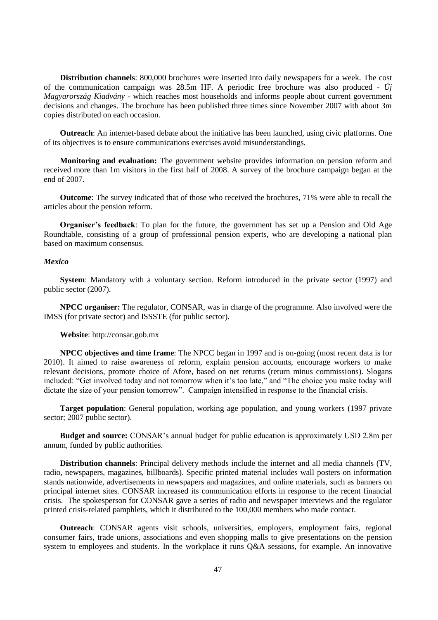**Distribution channels**: 800,000 brochures were inserted into daily newspapers for a week. The cost of the communication campaign was 28.5m HF. A periodic free brochure was also produced - *Új Magyarország Kiadvány* - which reaches most households and informs people about current government decisions and changes. The brochure has been published three times since November 2007 with about 3m copies distributed on each occasion.

**Outreach**: An internet-based debate about the initiative has been launched, using civic platforms. One of its objectives is to ensure communications exercises avoid misunderstandings.

**Monitoring and evaluation:** The government website provides information on pension reform and received more than 1m visitors in the first half of 2008. A survey of the brochure campaign began at the end of 2007.

**Outcome**: The survey indicated that of those who received the brochures, 71% were able to recall the articles about the pension reform.

**Organiser's feedback**: To plan for the future, the government has set up a Pension and Old Age Roundtable, consisting of a group of professional pension experts, who are developing a national plan based on maximum consensus.

## *Mexico*

**System**: Mandatory with a voluntary section. Reform introduced in the private sector (1997) and public sector (2007).

**NPCC organiser:** The regulator, CONSAR, was in charge of the programme. Also involved were the IMSS (for private sector) and ISSSTE (for public sector).

**Website**: http://consar.gob.mx

**NPCC objectives and time frame**: The NPCC began in 1997 and is on-going (most recent data is for 2010). It aimed to raise awareness of reform, explain pension accounts, encourage workers to make relevant decisions, promote choice of Afore, based on net returns (return minus commissions). Slogans included: "Get involved today and not tomorrow when it's too late," and "The choice you make today will dictate the size of your pension tomorrow". Campaign intensified in response to the financial crisis.

**Target population**: General population, working age population, and young workers (1997 private sector: 2007 public sector).

**Budget and source:** CONSAR"s annual budget for public education is approximately USD 2.8m per annum, funded by public authorities.

**Distribution channels**: Principal delivery methods include the internet and all media channels (TV, radio, newspapers, magazines, billboards). Specific printed material includes wall posters on information stands nationwide, advertisements in newspapers and magazines, and online materials, such as banners on principal internet sites. CONSAR increased its communication efforts in response to the recent financial crisis. The spokesperson for CONSAR gave a series of radio and newspaper interviews and the regulator printed crisis-related pamphlets, which it distributed to the 100,000 members who made contact.

**Outreach**: CONSAR agents visit schools, universities, employers, employment fairs, regional consumer fairs, trade unions, associations and even shopping malls to give presentations on the pension system to employees and students. In the workplace it runs Q&A sessions, for example. An innovative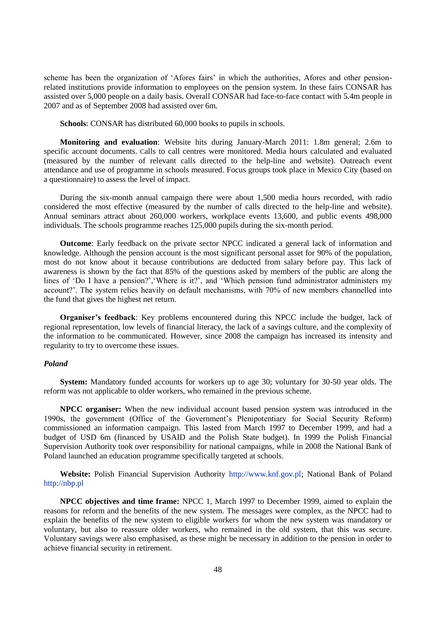scheme has been the organization of 'Afores fairs' in which the authorities, Afores and other pensionrelated institutions provide information to employees on the pension system. In these fairs CONSAR has assisted over 5,000 people on a daily basis. Overall CONSAR had face-to-face contact with 5.4m people in 2007 and as of September 2008 had assisted over 6m.

**Schools**: CONSAR has distributed 60,000 books to pupils in schools.

**Monitoring and evaluation**: Website hits during January-March 2011: 1.8m general; 2.6m to specific account documents. Calls to call centres were monitored. Media hours calculated and evaluated (measured by the number of relevant calls directed to the help-line and website). Outreach event attendance and use of programme in schools measured. Focus groups took place in Mexico City (based on a questionnaire) to assess the level of impact.

During the six-month annual campaign there were about 1,500 media hours recorded, with radio considered the most effective (measured by the number of calls directed to the help-line and website). Annual seminars attract about 260,000 workers, workplace events 13,600, and public events 498,000 individuals. The schools programme reaches 125,000 pupils during the six-month period.

**Outcome**: Early feedback on the private sector NPCC indicated a general lack of information and knowledge. Although the pension account is the most significant personal asset for 90% of the population, most do not know about it because contributions are deducted from salary before pay. This lack of awareness is shown by the fact that 85% of the questions asked by members of the public are along the lines of 'Do I have a pension?', 'Where is it?', and 'Which pension fund administrator administers my account?". The system relies heavily on default mechanisms, with 70% of new members channelled into the fund that gives the highest net return.

**Organiser's feedback**: Key problems encountered during this NPCC include the budget, lack of regional representation, low levels of financial literacy, the lack of a savings culture, and the complexity of the information to be communicated. However, since 2008 the campaign has increased its intensity and regularity to try to overcome these issues.

# *Poland*

**System:** Mandatory funded accounts for workers up to age 30; voluntary for 30-50 year olds. The reform was not applicable to older workers, who remained in the previous scheme.

**NPCC organiser:** When the new individual account based pension system was introduced in the 1990s, the government (Office of the Government"s Plenipotentiary for Social Security Reform) commissioned an information campaign. This lasted from March 1997 to December 1999, and had a budget of USD 6m (financed by USAID and the Polish State budget). In 1999 the Polish Financial Supervision Authority took over responsibility for national campaigns, while in 2008 the National Bank of Poland launched an education programme specifically targeted at schools.

**Website:** Polish Financial Supervision Authority [http://www.knf.gov.pl;](http://www.knf.gov.pl/) National Bank of Poland [http://nbp.pl](http://nbp.pl/)

**NPCC objectives and time frame:** NPCC 1, March 1997 to December 1999, aimed to explain the reasons for reform and the benefits of the new system. The messages were complex, as the NPCC had to explain the benefits of the new system to eligible workers for whom the new system was mandatory or voluntary, but also to reassure older workers, who remained in the old system, that this was secure. Voluntary savings were also emphasised, as these might be necessary in addition to the pension in order to achieve financial security in retirement.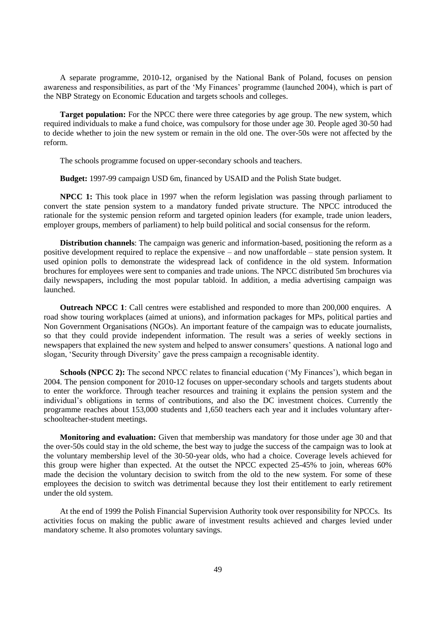A separate programme, 2010-12, organised by the National Bank of Poland, focuses on pension awareness and responsibilities, as part of the "My Finances" programme (launched 2004), which is part of the NBP Strategy on Economic Education and targets schools and colleges.

**Target population:** For the NPCC there were three categories by age group. The new system, which required individuals to make a fund choice, was compulsory for those under age 30. People aged 30-50 had to decide whether to join the new system or remain in the old one. The over-50s were not affected by the reform.

The schools programme focused on upper-secondary schools and teachers.

**Budget:** 1997-99 campaign USD 6m, financed by USAID and the Polish State budget.

**NPCC 1:** This took place in 1997 when the reform legislation was passing through parliament to convert the state pension system to a mandatory funded private structure. The NPCC introduced the rationale for the systemic pension reform and targeted opinion leaders (for example, trade union leaders, employer groups, members of parliament) to help build political and social consensus for the reform.

**Distribution channels**: The campaign was generic and information-based, positioning the reform as a positive development required to replace the expensive – and now unaffordable – state pension system. It used opinion polls to demonstrate the widespread lack of confidence in the old system. Information brochures for employees were sent to companies and trade unions. The NPCC distributed 5m brochures via daily newspapers, including the most popular tabloid. In addition, a media advertising campaign was launched.

**Outreach NPCC 1**: Call centres were established and responded to more than 200,000 enquires. A road show touring workplaces (aimed at unions), and information packages for MPs, political parties and Non Government Organisations (NGOs). An important feature of the campaign was to educate journalists, so that they could provide independent information. The result was a series of weekly sections in newspapers that explained the new system and helped to answer consumers" questions. A national logo and slogan, "Security through Diversity" gave the press campaign a recognisable identity.

**Schools (NPCC 2):** The second NPCC relates to financial education ('My Finances'), which began in 2004. The pension component for 2010-12 focuses on upper-secondary schools and targets students about to enter the workforce. Through teacher resources and training it explains the pension system and the individual"s obligations in terms of contributions, and also the DC investment choices. Currently the programme reaches about 153,000 students and 1,650 teachers each year and it includes voluntary afterschoolteacher-student meetings.

**Monitoring and evaluation:** Given that membership was mandatory for those under age 30 and that the over-50s could stay in the old scheme, the best way to judge the success of the campaign was to look at the voluntary membership level of the 30-50-year olds, who had a choice. Coverage levels achieved for this group were higher than expected. At the outset the NPCC expected 25-45% to join, whereas 60% made the decision the voluntary decision to switch from the old to the new system. For some of these employees the decision to switch was detrimental because they lost their entitlement to early retirement under the old system.

At the end of 1999 the Polish Financial Supervision Authority took over responsibility for NPCCs. Its activities focus on making the public aware of investment results achieved and charges levied under mandatory scheme. It also promotes voluntary savings.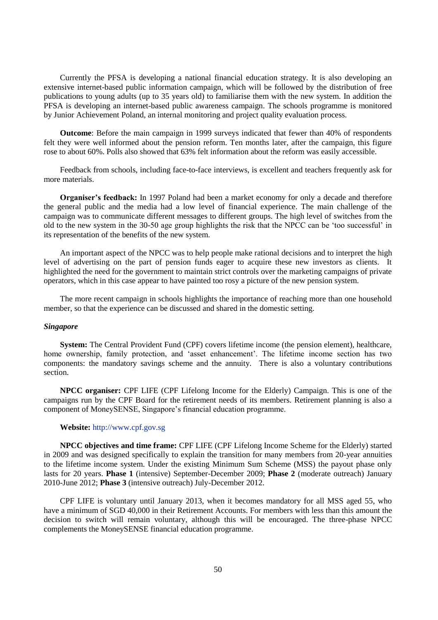Currently the PFSA is developing a national financial education strategy. It is also developing an extensive internet-based public information campaign, which will be followed by the distribution of free publications to young adults (up to 35 years old) to familiarise them with the new system. In addition the PFSA is developing an internet-based public awareness campaign. The schools programme is monitored by Junior Achievement Poland, an internal monitoring and project quality evaluation process.

**Outcome**: Before the main campaign in 1999 surveys indicated that fewer than 40% of respondents felt they were well informed about the pension reform. Ten months later, after the campaign, this figure rose to about 60%. Polls also showed that 63% felt information about the reform was easily accessible.

Feedback from schools, including face-to-face interviews, is excellent and teachers frequently ask for more materials.

**Organiser's feedback:** In 1997 Poland had been a market economy for only a decade and therefore the general public and the media had a low level of financial experience. The main challenge of the campaign was to communicate different messages to different groups. The high level of switches from the old to the new system in the 30-50 age group highlights the risk that the NPCC can be "too successful" in its representation of the benefits of the new system.

An important aspect of the NPCC was to help people make rational decisions and to interpret the high level of advertising on the part of pension funds eager to acquire these new investors as clients. It highlighted the need for the government to maintain strict controls over the marketing campaigns of private operators, which in this case appear to have painted too rosy a picture of the new pension system.

The more recent campaign in schools highlights the importance of reaching more than one household member, so that the experience can be discussed and shared in the domestic setting.

# *Singapore*

**System:** The Central Provident Fund (CPF) covers lifetime income (the pension element), healthcare, home ownership, family protection, and 'asset enhancement'. The lifetime income section has two components: the mandatory savings scheme and the annuity. There is also a voluntary contributions section.

**NPCC organiser:** CPF LIFE (CPF Lifelong Income for the Elderly) Campaign. This is one of the campaigns run by the CPF Board for the retirement needs of its members. Retirement planning is also a component of MoneySENSE, Singapore"s financial education programme.

## **Website:** [http://www.cpf.gov.sg](http://www.cpf.gov.sg/)

**NPCC objectives and time frame:** CPF LIFE (CPF Lifelong Income Scheme for the Elderly) started in 2009 and was designed specifically to explain the transition for many members from 20-year annuities to the lifetime income system. Under the existing Minimum Sum Scheme (MSS) the payout phase only lasts for 20 years. **Phase 1** (intensive) September-December 2009; **Phase 2** (moderate outreach) January 2010-June 2012; **Phase 3** (intensive outreach) July-December 2012.

CPF LIFE is voluntary until January 2013, when it becomes mandatory for all MSS aged 55, who have a minimum of SGD 40,000 in their Retirement Accounts. For members with less than this amount the decision to switch will remain voluntary, although this will be encouraged. The three-phase NPCC complements the MoneySENSE financial education programme.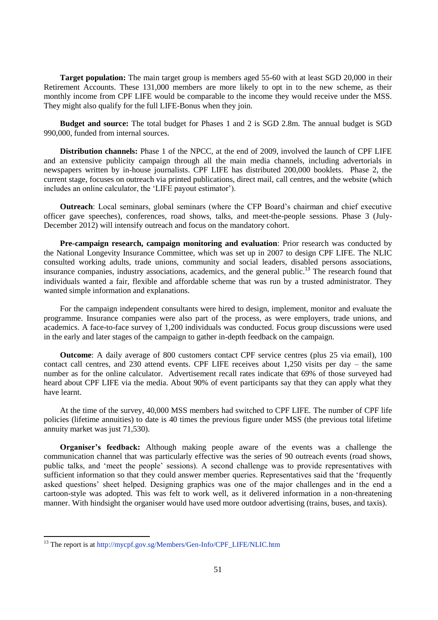**Target population:** The main target group is members aged 55-60 with at least SGD 20,000 in their Retirement Accounts. These 131,000 members are more likely to opt in to the new scheme, as their monthly income from CPF LIFE would be comparable to the income they would receive under the MSS. They might also qualify for the full LIFE-Bonus when they join.

**Budget and source:** The total budget for Phases 1 and 2 is SGD 2.8m. The annual budget is SGD 990,000, funded from internal sources.

**Distribution channels:** Phase 1 of the NPCC, at the end of 2009, involved the launch of CPF LIFE and an extensive publicity campaign through all the main media channels, including advertorials in newspapers written by in-house journalists. CPF LIFE has distributed 200,000 booklets. Phase 2, the current stage, focuses on outreach via printed publications, direct mail, call centres, and the website (which includes an online calculator, the "LIFE payout estimator").

**Outreach**: Local seminars, global seminars (where the CFP Board"s chairman and chief executive officer gave speeches), conferences, road shows, talks, and meet-the-people sessions. Phase 3 (July-December 2012) will intensify outreach and focus on the mandatory cohort.

**Pre-campaign research, campaign monitoring and evaluation**: Prior research was conducted by the National Longevity Insurance Committee, which was set up in 2007 to design CPF LIFE. The NLIC consulted working adults, trade unions, community and social leaders, disabled persons associations, insurance companies, industry associations, academics, and the general public.<sup>13</sup> The research found that individuals wanted a fair, flexible and affordable scheme that was run by a trusted administrator. They wanted simple information and explanations.

For the campaign independent consultants were hired to design, implement, monitor and evaluate the programme. Insurance companies were also part of the process, as were employers, trade unions, and academics. A face-to-face survey of 1,200 individuals was conducted. Focus group discussions were used in the early and later stages of the campaign to gather in-depth feedback on the campaign.

**Outcome**: A daily average of 800 customers contact CPF service centres (plus 25 via email), 100 contact call centres, and 230 attend events. CPF LIFE receives about 1,250 visits per day – the same number as for the online calculator. Advertisement recall rates indicate that 69% of those surveyed had heard about CPF LIFE via the media. About 90% of event participants say that they can apply what they have learnt.

At the time of the survey, 40,000 MSS members had switched to CPF LIFE. The number of CPF life policies (lifetime annuities) to date is 40 times the previous figure under MSS (the previous total lifetime annuity market was just 71,530).

**Organiser's feedback:** Although making people aware of the events was a challenge the communication channel that was particularly effective was the series of 90 outreach events (road shows, public talks, and "meet the people" sessions). A second challenge was to provide representatives with sufficient information so that they could answer member queries. Representatives said that the "frequently asked questions' sheet helped. Designing graphics was one of the major challenges and in the end a cartoon-style was adopted. This was felt to work well, as it delivered information in a non-threatening manner. With hindsight the organiser would have used more outdoor advertising (trains, buses, and taxis).

 $\overline{a}$ 

<sup>&</sup>lt;sup>13</sup> The report is at [http://mycpf.gov.sg/Members/Gen-Info/CPF\\_LIFE/NLIC.htm](http://mycpf.gov.sg/Members/Gen-Info/CPF_LIFE/NLIC.htm)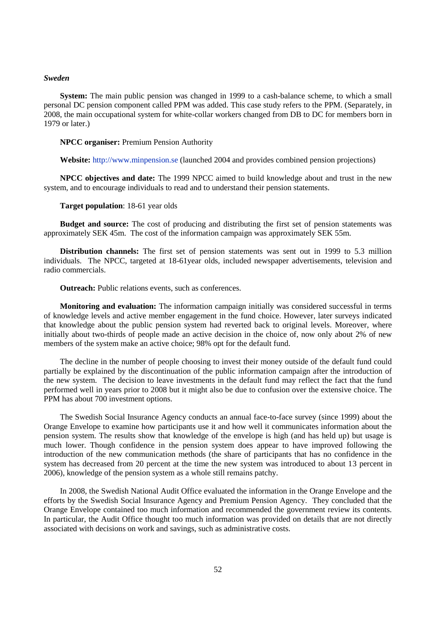#### *Sweden*

**System:** The main public pension was changed in 1999 to a cash-balance scheme, to which a small personal DC pension component called PPM was added. This case study refers to the PPM. (Separately, in 2008, the main occupational system for white-collar workers changed from DB to DC for members born in 1979 or later.)

**NPCC organiser:** Premium Pension Authority

**Website:** [http://www.minpension.se](http://www.minpension.se/) (launched 2004 and provides combined pension projections)

**NPCC objectives and date:** The 1999 NPCC aimed to build knowledge about and trust in the new system, and to encourage individuals to read and to understand their pension statements.

**Target population**: 18-61 year olds

**Budget and source:** The cost of producing and distributing the first set of pension statements was approximately SEK 45m. The cost of the information campaign was approximately SEK 55m.

**Distribution channels:** The first set of pension statements was sent out in 1999 to 5.3 million individuals. The NPCC, targeted at 18-61year olds, included newspaper advertisements, television and radio commercials.

**Outreach:** Public relations events, such as conferences.

**Monitoring and evaluation:** The information campaign initially was considered successful in terms of knowledge levels and active member engagement in the fund choice. However, later surveys indicated that knowledge about the public pension system had reverted back to original levels. Moreover, where initially about two-thirds of people made an active decision in the choice of, now only about 2% of new members of the system make an active choice; 98% opt for the default fund.

The decline in the number of people choosing to invest their money outside of the default fund could partially be explained by the discontinuation of the public information campaign after the introduction of the new system. The decision to leave investments in the default fund may reflect the fact that the fund performed well in years prior to 2008 but it might also be due to confusion over the extensive choice. The PPM has about 700 investment options.

The Swedish Social Insurance Agency conducts an annual face-to-face survey (since 1999) about the Orange Envelope to examine how participants use it and how well it communicates information about the pension system. The results show that knowledge of the envelope is high (and has held up) but usage is much lower. Though confidence in the pension system does appear to have improved following the introduction of the new communication methods (the share of participants that has no confidence in the system has decreased from 20 percent at the time the new system was introduced to about 13 percent in 2006), knowledge of the pension system as a whole still remains patchy.

In 2008, the Swedish National Audit Office evaluated the information in the Orange Envelope and the efforts by the Swedish Social Insurance Agency and Premium Pension Agency. They concluded that the Orange Envelope contained too much information and recommended the government review its contents. In particular, the Audit Office thought too much information was provided on details that are not directly associated with decisions on work and savings, such as administrative costs.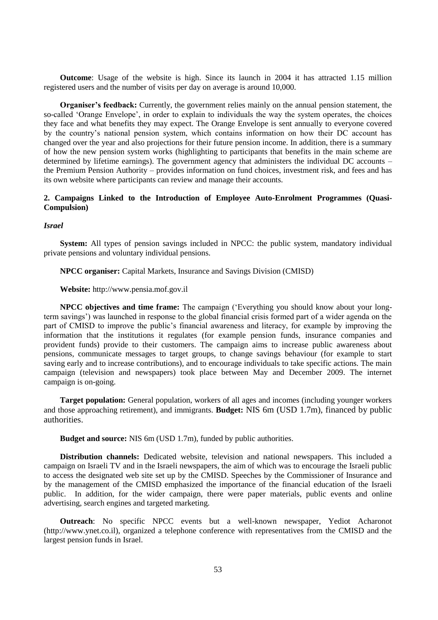**Outcome**: Usage of the website is high. Since its launch in 2004 it has attracted 1.15 million registered users and the number of visits per day on average is around 10,000.

**Organiser's feedback:** Currently, the government relies mainly on the annual pension statement, the so-called 'Orange Envelope', in order to explain to individuals the way the system operates, the choices they face and what benefits they may expect. The Orange Envelope is sent annually to everyone covered by the country"s national pension system, which contains information on how their DC account has changed over the year and also projections for their future pension income. In addition, there is a summary of how the new pension system works (highlighting to participants that benefits in the main scheme are determined by lifetime earnings). The government agency that administers the individual DC accounts – the Premium Pension Authority – provides information on fund choices, investment risk, and fees and has its own website where participants can review and manage their accounts.

# **2. Campaigns Linked to the Introduction of Employee Auto-Enrolment Programmes (Quasi-Compulsion)**

*Israel*

**System:** All types of pension savings included in NPCC: the public system, mandatory individual private pensions and voluntary individual pensions.

**NPCC organiser:** Capital Markets, Insurance and Savings Division (CMISD)

**Website:** http://www.pensia.mof.gov.il

**NPCC objectives and time frame:** The campaign ("Everything you should know about your longterm savings") was launched in response to the global financial crisis formed part of a wider agenda on the part of CMISD to improve the public's financial awareness and literacy, for example by improving the information that the institutions it regulates (for example pension funds, insurance companies and provident funds) provide to their customers. The campaign aims to increase public awareness about pensions, communicate messages to target groups, to change savings behaviour (for example to start saving early and to increase contributions), and to encourage individuals to take specific actions. The main campaign (television and newspapers) took place between May and December 2009. The internet campaign is on-going.

**Target population:** General population, workers of all ages and incomes (including younger workers and those approaching retirement), and immigrants. **Budget:** NIS 6m (USD 1.7m), financed by public authorities.

**Budget and source:** NIS 6m (USD 1.7m), funded by public authorities.

**Distribution channels:** Dedicated website, television and national newspapers. This included a campaign on Israeli TV and in the Israeli newspapers, the aim of which was to encourage the Israeli public to access the designated web site set up by the CMISD. Speeches by the Commissioner of Insurance and by the management of the CMISD emphasized the importance of the financial education of the Israeli public. In addition, for the wider campaign, there were paper materials, public events and online advertising, search engines and targeted marketing.

**Outreach**: No specific NPCC events but a well-known newspaper, Yediot Acharonot (http://www.ynet.co.il), organized a telephone conference with representatives from the CMISD and the largest pension funds in Israel.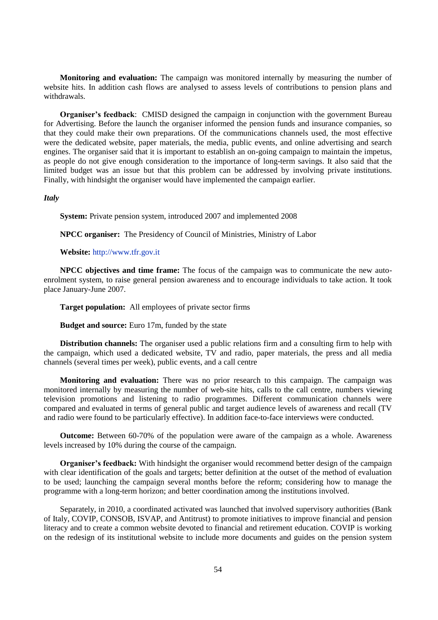**Monitoring and evaluation:** The campaign was monitored internally by measuring the number of website hits. In addition cash flows are analysed to assess levels of contributions to pension plans and withdrawals.

**Organiser's feedback**:CMISD designed the campaign in conjunction with the government Bureau for Advertising. Before the launch the organiser informed the pension funds and insurance companies, so that they could make their own preparations. Of the communications channels used, the most effective were the dedicated website, paper materials, the media, public events, and online advertising and search engines. The organiser said that it is important to establish an on-going campaign to maintain the impetus, as people do not give enough consideration to the importance of long-term savings. It also said that the limited budget was an issue but that this problem can be addressed by involving private institutions. Finally, with hindsight the organiser would have implemented the campaign earlier.

## *Italy*

**System:** Private pension system, introduced 2007 and implemented 2008

**NPCC organiser:** The Presidency of Council of Ministries, Ministry of Labor

**Website:** [http://www.tfr.gov.it](http://www.tfr.gov.it/) 

**NPCC objectives and time frame:** The focus of the campaign was to communicate the new autoenrolment system, to raise general pension awareness and to encourage individuals to take action. It took place January-June 2007.

**Target population:** All employees of private sector firms

**Budget and source:** Euro 17m, funded by the state

**Distribution channels:** The organiser used a public relations firm and a consulting firm to help with the campaign, which used a dedicated website, TV and radio, paper materials, the press and all media channels (several times per week), public events, and a call centre

**Monitoring and evaluation:** There was no prior research to this campaign. The campaign was monitored internally by measuring the number of web-site hits, calls to the call centre, numbers viewing television promotions and listening to radio programmes. Different communication channels were compared and evaluated in terms of general public and target audience levels of awareness and recall (TV and radio were found to be particularly effective). In addition face-to-face interviews were conducted.

**Outcome:** Between 60-70% of the population were aware of the campaign as a whole. Awareness levels increased by 10% during the course of the campaign.

**Organiser's feedback:** With hindsight the organiser would recommend better design of the campaign with clear identification of the goals and targets; better definition at the outset of the method of evaluation to be used; launching the campaign several months before the reform; considering how to manage the programme with a long-term horizon; and better coordination among the institutions involved.

Separately, in 2010, a coordinated activated was launched that involved supervisory authorities (Bank of Italy, COVIP, CONSOB, ISVAP, and Antitrust) to promote initiatives to improve financial and pension literacy and to create a common website devoted to financial and retirement education. COVIP is working on the redesign of its institutional website to include more documents and guides on the pension system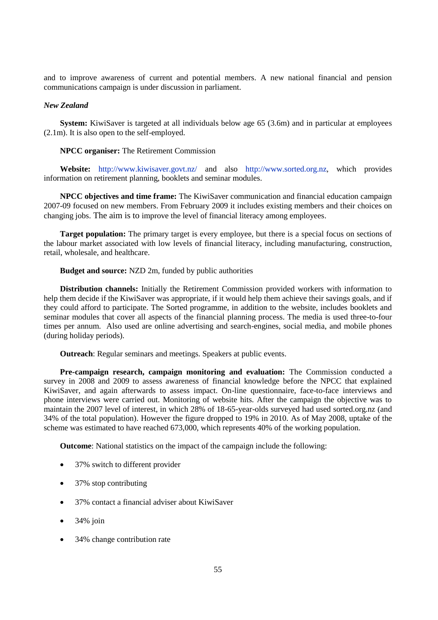and to improve awareness of current and potential members. A new national financial and pension communications campaign is under discussion in parliament.

## *New Zealand*

**System:** KiwiSaver is targeted at all individuals below age 65 (3.6m) and in particular at employees (2.1m). It is also open to the self-employed.

#### **NPCC organiser:** The Retirement Commission

**Website:** <http://www.kiwisaver.govt.nz/> and also [http://www.sorted.org.nz,](http://www.sorted.org.nz/) which provides information on retirement planning, booklets and seminar modules.

**NPCC objectives and time frame:** The KiwiSaver communication and financial education campaign 2007-09 focused on new members. From February 2009 it includes existing members and their choices on changing jobs. The aim is to improve the level of financial literacy among employees.

**Target population:** The primary target is every employee, but there is a special focus on sections of the labour market associated with low levels of financial literacy, including manufacturing, construction, retail, wholesale, and healthcare.

## **Budget and source:** NZD 2m, funded by public authorities

**Distribution channels:** Initially the Retirement Commission provided workers with information to help them decide if the KiwiSaver was appropriate, if it would help them achieve their savings goals, and if they could afford to participate. The Sorted programme, in addition to the website, includes booklets and seminar modules that cover all aspects of the financial planning process. The media is used three-to-four times per annum. Also used are online advertising and search-engines, social media, and mobile phones (during holiday periods).

**Outreach**: Regular seminars and meetings. Speakers at public events.

**Pre-campaign research, campaign monitoring and evaluation:** The Commission conducted a survey in 2008 and 2009 to assess awareness of financial knowledge before the NPCC that explained KiwiSaver, and again afterwards to assess impact. On-line questionnaire, face-to-face interviews and phone interviews were carried out. Monitoring of website hits. After the campaign the objective was to maintain the 2007 level of interest, in which 28% of 18-65-year-olds surveyed had used sorted.org.nz (and 34% of the total population). However the figure dropped to 19% in 2010. As of May 2008, uptake of the scheme was estimated to have reached 673,000, which represents 40% of the working population.

**Outcome**: National statistics on the impact of the campaign include the following:

- 37% switch to different provider
- 37% stop contributing
- 37% contact a financial adviser about KiwiSaver
- 34% join
- 34% change contribution rate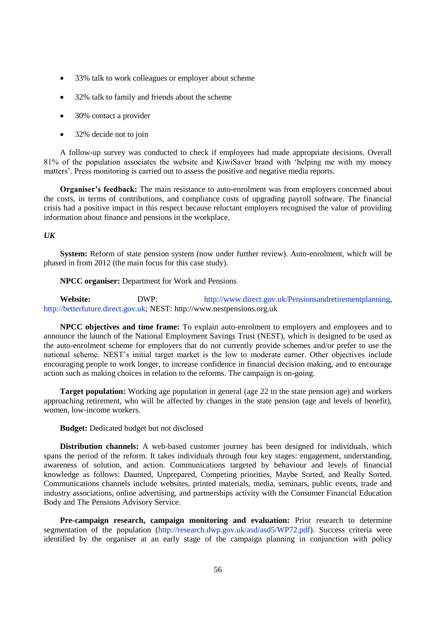- 33% talk to work colleagues or employer about scheme
- 32% talk to family and friends about the scheme
- 30% contact a provider
- 32% decide not to join

A follow-up survey was conducted to check if employees had made appropriate decisions. Overall 81% of the population associates the website and KiwiSaver brand with "helping me with my money matters". Press monitoring is carried out to assess the positive and negative media reports.

**Organiser's feedback:** The main resistance to auto-enrolment was from employers concerned about the costs, in terms of contributions, and compliance costs of upgrading payroll software. The financial crisis had a positive impact in this respect because reluctant employers recognised the value of providing information about finance and pensions in the workplace.

#### *UK*

**System:** Reform of state pension system (now under further review). Auto-enrolment, which will be phased in from 2012 (the main focus for this case study).

**NPCC organiser:** Department for Work and Pensions

Website: DWP: [http://www.direct.gov.uk/Pensionsandretirementplanning,](http://www.direct.gov.uk/Pensionsandretirementplanning) [http://betterfuture.direct.gov.uk;](http://betterfuture.direct.gov.uk/) NEST: http://www.nestpensions.org.uk

**NPCC objectives and time frame:** To explain auto-enrolment to employers and employees and to announce the launch of the National Employment Savings Trust (NEST), which is designed to be used as the auto-enrolment scheme for employers that do not currently provide schemes and/or prefer to use the national scheme. NEST"s initial target market is the low to moderate earner. Other objectives include encouraging people to work longer, to increase confidence in financial decision making, and to encourage action such as making choices in relation to the reforms. The campaign is on-going.

**Target population:** Working age population in general (age 22 to the state pension age) and workers approaching retirement, who will be affected by changes in the state pension (age and levels of benefit), women, low-income workers.

**Budget:** Dedicated budget but not disclosed

**Distribution channels:** A web-based customer journey has been designed for individuals, which spans the period of the reform. It takes individuals through four key stages: engagement, understanding, awareness of solution, and action. Communications targeted by behaviour and levels of financial knowledge as follows: Daunted, Unprepared, Competing priorities, Maybe Sorted, and Really Sorted. Communications channels include websites, printed materials, media, seminars, public events, trade and industry associations, online advertising, and partnerships activity with the Consumer Financial Education Body and The Pensions Advisory Service.

**Pre-campaign research, campaign monitoring and evaluation:** Prior research to determine segmentation of the population [\(http://research.dwp.gov.uk/asd/asd5/WP72.pdf\)](http://research.dwp.gov.uk/asd/asd5/WP72.pdf). Success criteria were identified by the organiser at an early stage of the campaign planning in conjunction with policy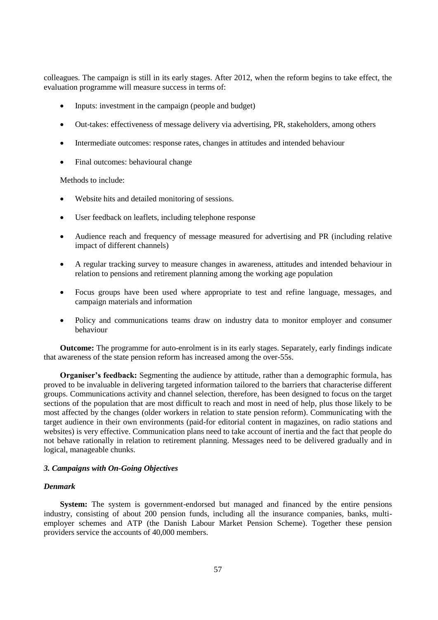colleagues. The campaign is still in its early stages. After 2012, when the reform begins to take effect, the evaluation programme will measure success in terms of:

- Inputs: investment in the campaign (people and budget)
- Out-takes: effectiveness of message delivery via advertising, PR, stakeholders, among others
- Intermediate outcomes: response rates, changes in attitudes and intended behaviour
- Final outcomes: behavioural change

Methods to include:

- Website hits and detailed monitoring of sessions.
- User feedback on leaflets, including telephone response
- Audience reach and frequency of message measured for advertising and PR (including relative impact of different channels)
- A regular tracking survey to measure changes in awareness, attitudes and intended behaviour in relation to pensions and retirement planning among the working age population
- Focus groups have been used where appropriate to test and refine language, messages, and campaign materials and information
- Policy and communications teams draw on industry data to monitor employer and consumer behaviour

**Outcome:** The programme for auto-enrolment is in its early stages. Separately, early findings indicate that awareness of the state pension reform has increased among the over-55s.

**Organiser's feedback:** Segmenting the audience by attitude, rather than a demographic formula, has proved to be invaluable in delivering targeted information tailored to the barriers that characterise different groups. Communications activity and channel selection, therefore, has been designed to focus on the target sections of the population that are most difficult to reach and most in need of help, plus those likely to be most affected by the changes (older workers in relation to state pension reform). Communicating with the target audience in their own environments (paid-for editorial content in magazines, on radio stations and websites) is very effective. Communication plans need to take account of inertia and the fact that people do not behave rationally in relation to retirement planning. Messages need to be delivered gradually and in logical, manageable chunks.

## *3. Campaigns with On-Going Objectives*

#### *Denmark*

**System:** The system is government-endorsed but managed and financed by the entire pensions industry, consisting of about 200 pension funds, including all the insurance companies, banks, multiemployer schemes and ATP (the Danish Labour Market Pension Scheme). Together these pension providers service the accounts of 40,000 members.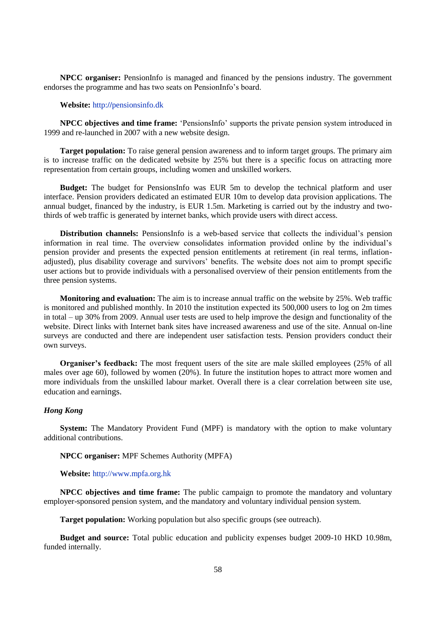**NPCC organiser:** PensionInfo is managed and financed by the pensions industry. The government endorses the programme and has two seats on PensionInfo"s board.

## **Website:** http:**//**[pensionsinfo.dk](http://pensionsinfo.dk/)

**NPCC objectives and time frame:** "PensionsInfo" supports the private pension system introduced in 1999 and re-launched in 2007 with a new website design.

**Target population:** To raise general pension awareness and to inform target groups. The primary aim is to increase traffic on the dedicated website by 25% but there is a specific focus on attracting more representation from certain groups, including women and unskilled workers.

**Budget:** The budget for PensionsInfo was EUR 5m to develop the technical platform and user interface. Pension providers dedicated an estimated EUR 10m to develop data provision applications. The annual budget, financed by the industry, is EUR 1.5m. Marketing is carried out by the industry and twothirds of web traffic is generated by internet banks, which provide users with direct access.

**Distribution channels:** PensionsInfo is a web-based service that collects the individual's pension information in real time. The overview consolidates information provided online by the individual"s pension provider and presents the expected pension entitlements at retirement (in real terms, inflationadjusted), plus disability coverage and survivors' benefits. The website does not aim to prompt specific user actions but to provide individuals with a personalised overview of their pension entitlements from the three pension systems.

**Monitoring and evaluation:** The aim is to increase annual traffic on the website by 25%. Web traffic is monitored and published monthly. In 2010 the institution expected its 500,000 users to log on 2m times in total – up 30% from 2009. Annual user tests are used to help improve the design and functionality of the website. Direct links with Internet bank sites have increased awareness and use of the site. Annual on-line surveys are conducted and there are independent user satisfaction tests. Pension providers conduct their own surveys.

**Organiser's feedback:** The most frequent users of the site are male skilled employees (25% of all males over age 60), followed by women (20%). In future the institution hopes to attract more women and more individuals from the unskilled labour market. Overall there is a clear correlation between site use, education and earnings.

## *Hong Kong*

**System:** The Mandatory Provident Fund (MPF) is mandatory with the option to make voluntary additional contributions.

# **NPCC organiser:** MPF Schemes Authority (MPFA)

#### **Website:** [http://www.mpfa.org.hk](http://www.mpfa.org.hk/)

**NPCC objectives and time frame:** The public campaign to promote the mandatory and voluntary employer-sponsored pension system, and the mandatory and voluntary individual pension system.

**Target population:** Working population but also specific groups (see outreach).

**Budget and source:** Total public education and publicity expenses budget 2009-10 HKD 10.98m, funded internally.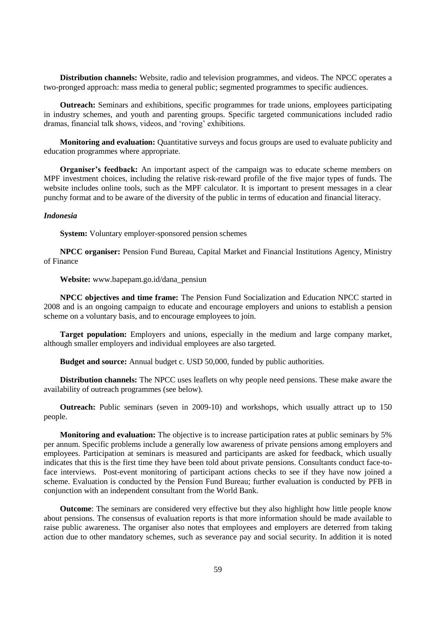**Distribution channels:** Website, radio and television programmes, and videos. The NPCC operates a two-pronged approach: mass media to general public; segmented programmes to specific audiences.

**Outreach:** Seminars and exhibitions, specific programmes for trade unions, employees participating in industry schemes, and youth and parenting groups. Specific targeted communications included radio dramas, financial talk shows, videos, and "roving" exhibitions.

**Monitoring and evaluation:** Quantitative surveys and focus groups are used to evaluate publicity and education programmes where appropriate.

**Organiser's feedback:** An important aspect of the campaign was to educate scheme members on MPF investment choices, including the relative risk-reward profile of the five major types of funds. The website includes online tools, such as the MPF calculator. It is important to present messages in a clear punchy format and to be aware of the diversity of the public in terms of education and financial literacy.

## *Indonesia*

**System:** Voluntary employer-sponsored pension schemes

**NPCC organiser:** Pension Fund Bureau, Capital Market and Financial Institutions Agency, Ministry of Finance

**Website:** www.bapepam.go.id/dana\_pensiun

**NPCC objectives and time frame:** The Pension Fund Socialization and Education NPCC started in 2008 and is an ongoing campaign to educate and encourage employers and unions to establish a pension scheme on a voluntary basis, and to encourage employees to join.

**Target population:** Employers and unions, especially in the medium and large company market, although smaller employers and individual employees are also targeted.

**Budget and source:** Annual budget c. USD 50,000, funded by public authorities.

**Distribution channels:** The NPCC uses leaflets on why people need pensions. These make aware the availability of outreach programmes (see below).

**Outreach:** Public seminars (seven in 2009-10) and workshops, which usually attract up to 150 people.

**Monitoring and evaluation:** The objective is to increase participation rates at public seminars by 5% per annum. Specific problems include a generally low awareness of private pensions among employers and employees. Participation at seminars is measured and participants are asked for feedback, which usually indicates that this is the first time they have been told about private pensions. Consultants conduct face-toface interviews. Post-event monitoring of participant actions checks to see if they have now joined a scheme. Evaluation is conducted by the Pension Fund Bureau; further evaluation is conducted by PFB in conjunction with an independent consultant from the World Bank.

**Outcome**: The seminars are considered very effective but they also highlight how little people know about pensions. The consensus of evaluation reports is that more information should be made available to raise public awareness. The organiser also notes that employees and employers are deterred from taking action due to other mandatory schemes, such as severance pay and social security. In addition it is noted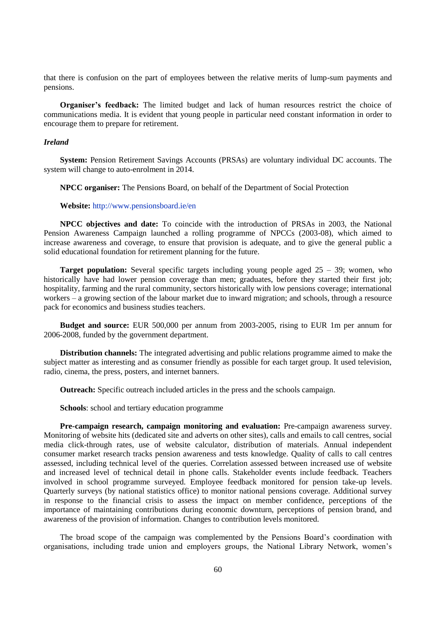that there is confusion on the part of employees between the relative merits of lump-sum payments and pensions.

**Organiser's feedback:** The limited budget and lack of human resources restrict the choice of communications media. It is evident that young people in particular need constant information in order to encourage them to prepare for retirement.

## *Ireland*

**System:** Pension Retirement Savings Accounts (PRSAs) are voluntary individual DC accounts. The system will change to auto-enrolment in 2014.

**NPCC organiser:** The Pensions Board, on behalf of the Department of Social Protection

# **Website:** <http://www.pensionsboard.ie/en>

**NPCC objectives and date:** To coincide with the introduction of PRSAs in 2003, the National Pension Awareness Campaign launched a rolling programme of NPCCs (2003-08), which aimed to increase awareness and coverage, to ensure that provision is adequate, and to give the general public a solid educational foundation for retirement planning for the future.

**Target population:** Several specific targets including young people aged 25 – 39; women, who historically have had lower pension coverage than men; graduates, before they started their first job; hospitality, farming and the rural community, sectors historically with low pensions coverage; international workers – a growing section of the labour market due to inward migration; and schools, through a resource pack for economics and business studies teachers.

**Budget and source:** EUR 500,000 per annum from 2003-2005, rising to EUR 1m per annum for 2006-2008, funded by the government department.

**Distribution channels:** The integrated advertising and public relations programme aimed to make the subject matter as interesting and as consumer friendly as possible for each target group. It used television, radio, cinema, the press, posters, and internet banners.

**Outreach:** Specific outreach included articles in the press and the schools campaign.

**Schools**: school and tertiary education programme

**Pre-campaign research, campaign monitoring and evaluation:** Pre-campaign awareness survey. Monitoring of website hits (dedicated site and adverts on other sites), calls and emails to call centres, social media click-through rates, use of website calculator, distribution of materials. Annual independent consumer market research tracks pension awareness and tests knowledge. Quality of calls to call centres assessed, including technical level of the queries. Correlation assessed between increased use of website and increased level of technical detail in phone calls. Stakeholder events include feedback. Teachers involved in school programme surveyed. Employee feedback monitored for pension take-up levels. Quarterly surveys (by national statistics office) to monitor national pensions coverage. Additional survey in response to the financial crisis to assess the impact on member confidence, perceptions of the importance of maintaining contributions during economic downturn, perceptions of pension brand, and awareness of the provision of information. Changes to contribution levels monitored.

The broad scope of the campaign was complemented by the Pensions Board"s coordination with organisations, including trade union and employers groups, the National Library Network, women"s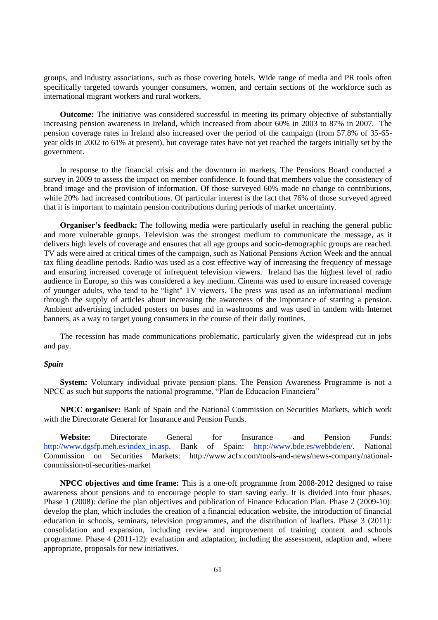groups, and industry associations, such as those covering hotels. Wide range of media and PR tools often specifically targeted towards younger consumers, women, and certain sections of the workforce such as international migrant workers and rural workers.

**Outcome:** The initiative was considered successful in meeting its primary objective of substantially increasing pension awareness in Ireland, which increased from about 60% in 2003 to 87% in 2007. The pension coverage rates in Ireland also increased over the period of the campaign (from 57.8% of 35-65 year olds in 2002 to 61% at present), but coverage rates have not yet reached the targets initially set by the government.

In response to the financial crisis and the downturn in markets, The Pensions Board conducted a survey in 2009 to assess the impact on member confidence. It found that members value the consistency of brand image and the provision of information. Of those surveyed 60% made no change to contributions, while 20% had increased contributions. Of particular interest is the fact that 76% of those surveyed agreed that it is important to maintain pension contributions during periods of market uncertainty.

**Organiser's feedback:** The following media were particularly useful in reaching the general public and more vulnerable groups. Television was the strongest medium to communicate the message, as it delivers high levels of coverage and ensures that all age groups and socio-demographic groups are reached. TV ads were aired at critical times of the campaign, such as National Pensions Action Week and the annual tax filing deadline periods. Radio was used as a cost effective way of increasing the frequency of message and ensuring increased coverage of infrequent television viewers. Ireland has the highest level of radio audience in Europe, so this was considered a key medium. Cinema was used to ensure increased coverage of younger adults, who tend to be "light" TV viewers. The press was used as an informational medium through the supply of articles about increasing the awareness of the importance of starting a pension. Ambient advertising included posters on buses and in washrooms and was used in tandem with Internet banners, as a way to target young consumers in the course of their daily routines.

The recession has made communications problematic, particularly given the widespread cut in jobs and pay.

## *Spain*

**System:** Voluntary individual private pension plans. The Pension Awareness Programme is not a NPCC as such but supports the national programme, "Plan de Educacíon Financiera"

**NPCC organiser:** Bank of Spain and the National Commission on Securities Markets, which work with the Directorate General for Insurance and Pension Funds.

**Website:** Directorate General for Insurance and Pension Funds: [http://www.dgsfp.meh.es/index\\_in.asp.](http://www.dgsfp.meh.es/index_in.asp) Bank of Spain: [http://www.bde.es/webbde/en/.](http://www.bde.es/webbde/en/) National Commission on Securities Markets: http://www.acfx.com/tools-and-news/news-company/nationalcommission-of-securities-market

**NPCC objectives and time frame:** This is a one-off programme from 2008-2012 designed to raise awareness about pensions and to encourage people to start saving early. It is divided into four phases. Phase 1 (2008): define the plan objectives and publication of Finance Education Plan. Phase 2 (2009-10): develop the plan, which includes the creation of a financial education website, the introduction of financial education in schools, seminars, television programmes, and the distribution of leaflets. Phase 3 (2011): consolidation and expansion, including review and improvement of training content and schools programme. Phase 4 (2011-12): evaluation and adaptation, including the assessment, adaption and, where appropriate, proposals for new initiatives.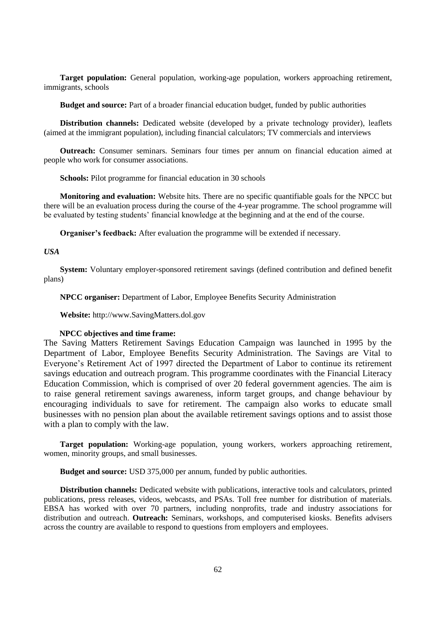**Target population:** General population, working-age population, workers approaching retirement, immigrants, schools

**Budget and source:** Part of a broader financial education budget, funded by public authorities

**Distribution channels:** Dedicated website (developed by a private technology provider), leaflets (aimed at the immigrant population), including financial calculators; TV commercials and interviews

**Outreach:** Consumer seminars. Seminars four times per annum on financial education aimed at people who work for consumer associations.

**Schools:** Pilot programme for financial education in 30 schools

**Monitoring and evaluation:** Website hits. There are no specific quantifiable goals for the NPCC but there will be an evaluation process during the course of the 4-year programme. The school programme will be evaluated by testing students" financial knowledge at the beginning and at the end of the course.

**Organiser's feedback:** After evaluation the programme will be extended if necessary.

# *USA*

**System:** Voluntary employer-sponsored retirement savings (defined contribution and defined benefit plans)

**NPCC organiser:** Department of Labor, Employee Benefits Security Administration

**Website:** http://www.SavingMatters.dol.gov

# **NPCC objectives and time frame:**

The Saving Matters Retirement Savings Education Campaign was launched in 1995 by the Department of Labor, Employee Benefits Security Administration. The Savings are Vital to Everyone"s Retirement Act of 1997 directed the Department of Labor to continue its retirement savings education and outreach program. This programme coordinates with the Financial Literacy Education Commission, which is comprised of over 20 federal government agencies. The aim is to raise general retirement savings awareness, inform target groups, and change behaviour by encouraging individuals to save for retirement. The campaign also works to educate small businesses with no pension plan about the available retirement savings options and to assist those with a plan to comply with the law.

**Target population:** Working-age population, young workers, workers approaching retirement, women, minority groups, and small businesses.

**Budget and source:** USD 375,000 per annum, funded by public authorities.

**Distribution channels:** Dedicated website with publications, interactive tools and calculators, printed publications, press releases, videos, webcasts, and PSAs. Toll free number for distribution of materials. EBSA has worked with over 70 partners, including nonprofits, trade and industry associations for distribution and outreach. **Outreach:** Seminars, workshops, and computerised kiosks. Benefits advisers across the country are available to respond to questions from employers and employees.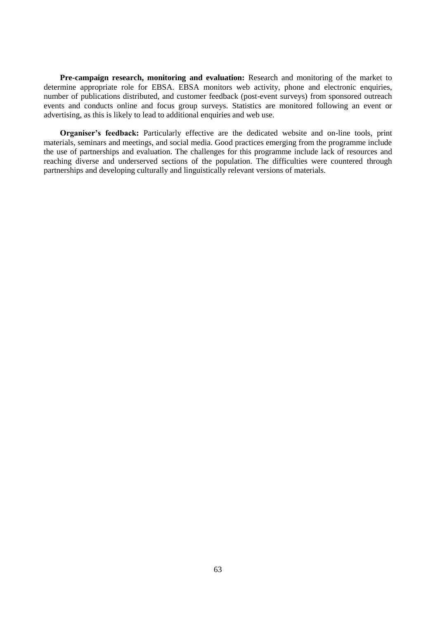**Pre-campaign research, monitoring and evaluation:** Research and monitoring of the market to determine appropriate role for EBSA. EBSA monitors web activity, phone and electronic enquiries, number of publications distributed, and customer feedback (post-event surveys) from sponsored outreach events and conducts online and focus group surveys. Statistics are monitored following an event or advertising, as this is likely to lead to additional enquiries and web use.

**Organiser's feedback:** Particularly effective are the dedicated website and on-line tools, print materials, seminars and meetings, and social media. Good practices emerging from the programme include the use of partnerships and evaluation. The challenges for this programme include lack of resources and reaching diverse and underserved sections of the population. The difficulties were countered through partnerships and developing culturally and linguistically relevant versions of materials.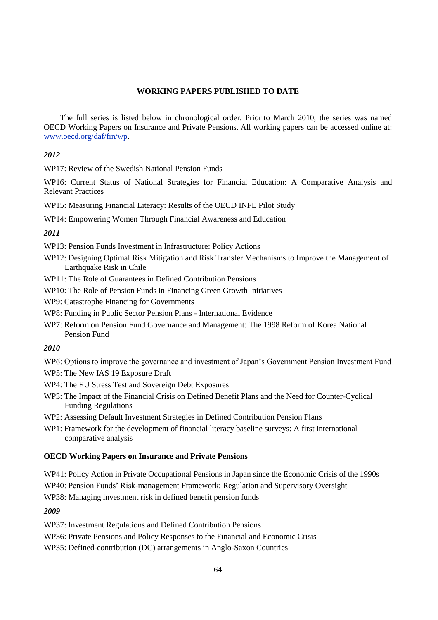# **WORKING PAPERS PUBLISHED TO DATE**

<span id="page-63-0"></span>The full series is listed below in chronological order. Prior to March 2010, the series was named OECD Working Papers on Insurance and Private Pensions. All working papers can be accessed online at: [www.oecd.org/daf/fin/wp.](http://www.oecd.org/daf/fin/wp)

*2012*

WP17: Review of the Swedish National Pension Funds

WP16: Current Status of National Strategies for Financial Education: A Comparative Analysis and Relevant Practices

WP15: Measuring Financial Literacy: Results of the OECD INFE Pilot Study

WP14: Empowering Women Through Financial Awareness and Education

*2011*

WP13: Pension Funds Investment in Infrastructure: Policy Actions

- WP12: Designing Optimal Risk Mitigation and Risk Transfer Mechanisms to Improve the Management of Earthquake Risk in Chile
- WP11: The Role of Guarantees in Defined Contribution Pensions
- [WP10: The Role of Pension Funds in Financing Green Growth Initiatives](http://dx.doi.org/10.1787/5kg58j1lwdjd-en)

[WP9: Catastrophe Financing for Governments](http://dx.doi.org/10.1787/5kgcjf7wkvhb-en)

- WP8: Funding in Public Sector Pension Plans International Evidence
- WP7: Reform on Pension Fund Governance and Management: The 1998 Reform of Korea National Pension Fund

*2010*

[WP6: Options to improve the governance and investment of Japan"s Government Pension Investment Fund](http://www.oecd.org/dataoecd/39/2/46798132.pdf)

- [WP5: The New IAS 19 Exposure Draft](http://www.oecd.org/dataoecd/22/8/45961579.pdf)
- [WP4: The EU Stress Test and Sovereign Debt Exposures](http://www.oecd.org/dataoecd/17/57/45820698.pdf)
- [WP3: The Impact of the Financial Crisis on Defined Benefit Plans and the Need for Counter-Cyclical](http://www.oecd.org/dataoecd/22/11/45694491.pdf)  [Funding Regulations](http://www.oecd.org/dataoecd/22/11/45694491.pdf)
- [WP2: Assessing Default Investment Strategies in Defined Contribution Pension Plans](http://www.oecd.org/dataoecd/22/63/45390367.pdf)
- [WP1: Framework for the development of financial literacy baseline surveys: A first international](http://www.oecd.org/dataoecd/4/29/45153314.pdf)  [comparative analysis](http://www.oecd.org/dataoecd/4/29/45153314.pdf)

# **OECD Working Papers on Insurance and Private Pensions**

[WP41: Policy Action in Private Occupational Pensions in Japan since the Economic Crisis of the 1990s](http://www.oecd.org/dataoecd/44/53/44862093.pdf)

[WP40: Pension Funds" Risk-management Framework: Regulation and Supervisory Oversight](http://www.oecd.org/dataoecd/35/43/44633539.pdf)

[WP38: Managing investment risk in defined benefit pension funds](http://www.oecd.org/dataoecd/49/17/44899253.pdf)

*2009*

[WP37: Investment Regulations and Defined Contribution Pensions](http://www.oecd.org/dataoecd/38/15/43347646.pdf)

[WP36: Private Pensions and Policy Responses to the Financial and Economic Crisis](http://www.oecd.org/dataoecd/37/54/42601323.pdf)

WP35: [Defined-contribution \(DC\) arrangements in Anglo-Saxon Countries](http://www.oecd.org/dataoecd/37/53/42601249.pdf)